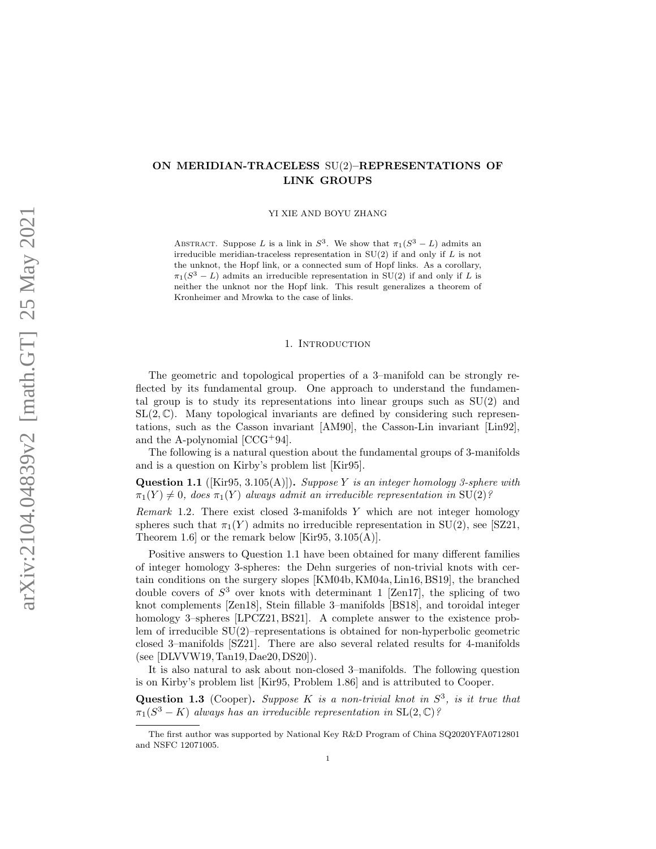# ON MERIDIAN-TRACELESS SU(2)–REPRESENTATIONS OF LINK GROUPS

YI XIE AND BOYU ZHANG

ABSTRACT. Suppose L is a link in  $S^3$ . We show that  $\pi_1(S^3 - L)$  admits an irreducible meridian-traceless representation in  $SU(2)$  if and only if  $L$  is not the unknot, the Hopf link, or a connected sum of Hopf links. As a corollary,  $\pi_1(S^3 - L)$  admits an irreducible representation in SU(2) if and only if L is neither the unknot nor the Hopf link. This result generalizes a theorem of Kronheimer and Mrowka to the case of links.

## 1. INTRODUCTION

The geometric and topological properties of a 3–manifold can be strongly reflected by its fundamental group. One approach to understand the fundamental group is to study its representations into linear groups such as  $SU(2)$  and  $SL(2,\mathbb{C})$ . Many topological invariants are defined by considering such representations, such as the Casson invariant [\[AM90\]](#page-36-0), the Casson-Lin invariant [\[Lin92\]](#page-37-0), and the A-polynomial [\[CCG](#page-36-1)+94].

The following is a natural question about the fundamental groups of 3-manifolds and is a question on Kirby's problem list [\[Kir95\]](#page-37-1).

<span id="page-0-0"></span>**Question 1.1** ([\[Kir95,](#page-37-1) 3.105(A)]). Suppose Y is an integer homology 3-sphere with  $\pi_1(Y) \neq 0$ , does  $\pi_1(Y)$  always admit an irreducible representation in SU(2)?

Remark 1.2. There exist closed 3-manifolds  $Y$  which are not integer homology spheres such that  $\pi_1(Y)$  admits no irreducible representation in SU(2), see [\[SZ21,](#page-37-2) Theorem 1.6] or the remark below [\[Kir95,](#page-37-1)  $3.105(A)$ ].

Positive answers to Question [1.1](#page-0-0) have been obtained for many different families of integer homology 3-spheres: the Dehn surgeries of non-trivial knots with certain conditions on the surgery slopes [\[KM04b,](#page-37-3)[KM04a,](#page-37-4)[Lin16,](#page-37-5) [BS19\]](#page-36-2), the branched double covers of  $S^3$  over knots with determinant 1 [\[Zen17\]](#page-38-0), the splicing of two knot complements [\[Zen18\]](#page-38-1), Stein fillable 3–manifolds [\[BS18\]](#page-36-3), and toroidal integer homology 3–spheres [\[LPCZ21,](#page-37-6) [BS21\]](#page-36-4). A complete answer to the existence problem of irreducible SU(2)–representations is obtained for non-hyperbolic geometric closed 3–manifolds [\[SZ21\]](#page-37-2). There are also several related results for 4-manifolds (see [\[DLVVW19,](#page-37-7)[Tan19,](#page-38-2)[Dae20,](#page-37-8)[DS20\]](#page-37-9)).

It is also natural to ask about non-closed 3–manifolds. The following question is on Kirby's problem list [\[Kir95,](#page-37-1) Problem 1.86] and is attributed to Cooper.

<span id="page-0-1"></span>Question 1.3 (Cooper). Suppose K is a non-trivial knot in  $S^3$ , is it true that  $\pi_1(S^3 - K)$  always has an irreducible representation in SL $(2, \mathbb{C})$ ?

The first author was supported by National Key R&D Program of China SQ2020YFA0712801 and NSFC 12071005.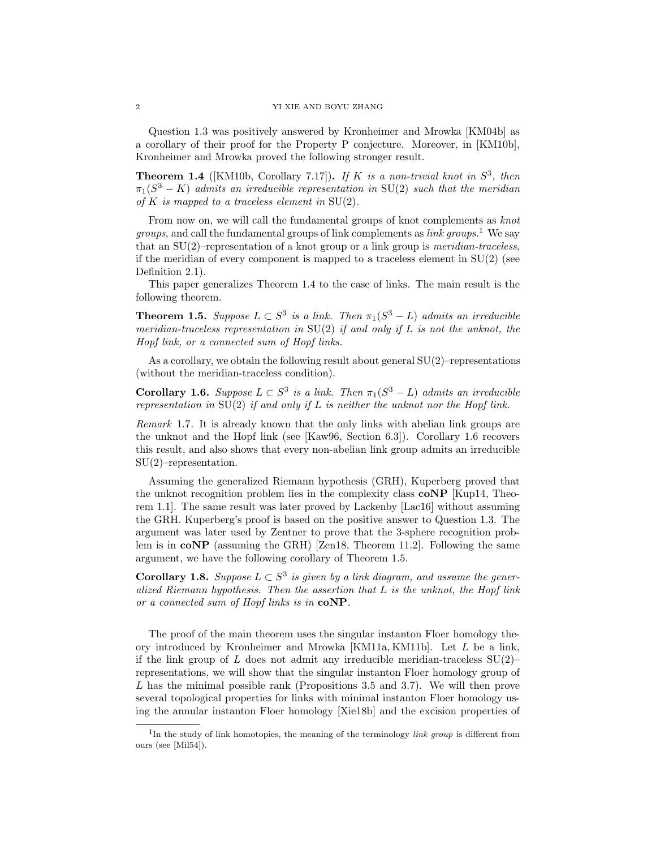Question [1.3](#page-0-1) was positively answered by Kronheimer and Mrowka [\[KM04b\]](#page-37-3) as a corollary of their proof for the Property P conjecture. Moreover, in [\[KM10b\]](#page-37-10), Kronheimer and Mrowka proved the following stronger result.

<span id="page-1-1"></span>**Theorem 1.4** ([\[KM10b,](#page-37-10) Corollary 7.17]). If K is a non-trivial knot in  $S^3$ , then  $\pi_1(S^3 - K)$  admits an irreducible representation in SU(2) such that the meridian of K is mapped to a traceless element in  $SU(2)$ .

From now on, we will call the fundamental groups of knot complements as knot *groups*, and call the fundamental groups of link complements as *link groups*.<sup>[1](#page-1-0)</sup> We say that an  $SU(2)$ –representation of a knot group or a link group is *meridian-traceless*, if the meridian of every component is mapped to a traceless element in  $SU(2)$  (see Definition [2.1\)](#page-2-0).

This paper generalizes Theorem [1.4](#page-1-1) to the case of links. The main result is the following theorem.

<span id="page-1-3"></span>**Theorem 1.5.** Suppose  $L \subset S^3$  is a link. Then  $\pi_1(S^3 - L)$  admits an irreducible meridian-traceless representation in  $SU(2)$  if and only if L is not the unknot, the Hopf link, or a connected sum of Hopf links.

As a corollary, we obtain the following result about general  $SU(2)$ –representations (without the meridian-traceless condition).

<span id="page-1-2"></span>**Corollary 1.6.** Suppose  $L \subset S^3$  is a link. Then  $\pi_1(S^3 - L)$  admits an irreducible representation in  $SU(2)$  if and only if L is neither the unknot nor the Hopf link.

Remark 1.7. It is already known that the only links with abelian link groups are the unknot and the Hopf link (see [\[Kaw96,](#page-37-11) Section 6.3]). Corollary [1.6](#page-1-2) recovers this result, and also shows that every non-abelian link group admits an irreducible SU(2)–representation.

Assuming the generalized Riemann hypothesis (GRH), Kuperberg proved that the unknot recognition problem lies in the complexity class coNP [\[Kup14,](#page-37-12) Theorem 1.1]. The same result was later proved by Lackenby [\[Lac16\]](#page-37-13) without assuming the GRH. Kuperberg's proof is based on the positive answer to Question [1.3.](#page-0-1) The argument was later used by Zentner to prove that the 3-sphere recognition problem is in  $coNP$  (assuming the GRH) [\[Zen18,](#page-38-1) Theorem 11.2]. Following the same argument, we have the following corollary of Theorem [1.5.](#page-1-3)

<span id="page-1-4"></span>**Corollary 1.8.** Suppose  $L \subset S^3$  is given by a link diagram, and assume the generalized Riemann hypothesis. Then the assertion that  $L$  is the unknot, the Hopf link or a connected sum of Hopf links is in coNP.

The proof of the main theorem uses the singular instanton Floer homology theory introduced by Kronheimer and Mrowka [\[KM11a,](#page-37-14) [KM11b\]](#page-37-15). Let L be a link, if the link group of L does not admit any irreducible meridian-traceless  $SU(2)$ – representations, we will show that the singular instanton Floer homology group of L has the minimal possible rank (Propositions [3.5](#page-11-0) and [3.7\)](#page-12-0). We will then prove several topological properties for links with minimal instanton Floer homology using the annular instanton Floer homology [\[Xie18b\]](#page-38-3) and the excision properties of

<span id="page-1-0"></span><sup>&</sup>lt;sup>1</sup>In the study of link homotopies, the meaning of the terminology *link group* is different from ours (see [\[Mil54\]](#page-37-16)).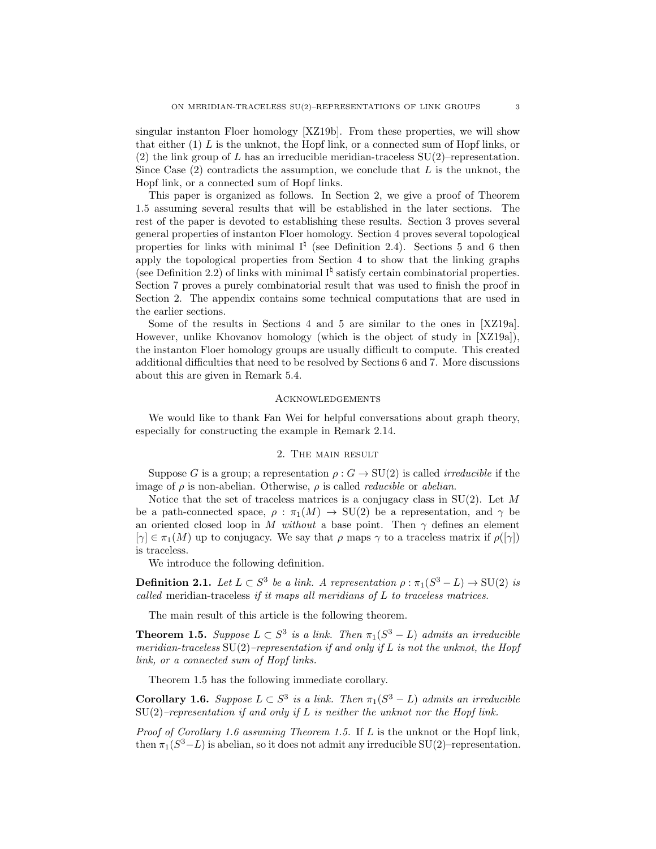singular instanton Floer homology [\[XZ19b\]](#page-38-4). From these properties, we will show that either  $(1)$  L is the unknot, the Hopf link, or a connected sum of Hopf links, or (2) the link group of L has an irreducible meridian-traceless  $SU(2)$ –representation. Since Case  $(2)$  contradicts the assumption, we conclude that L is the unknot, the Hopf link, or a connected sum of Hopf links.

This paper is organized as follows. In Section [2,](#page-2-1) we give a proof of Theorem [1.5](#page-1-3) assuming several results that will be established in the later sections. The rest of the paper is devoted to establishing these results. Section [3](#page-7-0) proves several general properties of instanton Floer homology. Section [4](#page-13-0) proves several topological properties for links with minimal  $I^{\natural}$  (see Definition [2.4\)](#page-4-0). Sections [5](#page-19-0) and [6](#page-23-0) then apply the topological properties from Section [4](#page-13-0) to show that the linking graphs (see Definition [2.2\)](#page-3-0) of links with minimal  $I^{\natural}$  satisfy certain combinatorial properties. Section [7](#page-32-0) proves a purely combinatorial result that was used to finish the proof in Section [2.](#page-2-1) The appendix contains some technical computations that are used in the earlier sections.

Some of the results in Sections [4](#page-13-0) and [5](#page-19-0) are similar to the ones in [\[XZ19a\]](#page-38-5). However, unlike Khovanov homology (which is the object of study in [\[XZ19a\]](#page-38-5)), the instanton Floer homology groups are usually difficult to compute. This created additional difficulties that need to be resolved by Sections [6](#page-23-0) and [7.](#page-32-0) More discussions about this are given in Remark [5.4.](#page-20-0)

## **ACKNOWLEDGEMENTS**

We would like to thank Fan Wei for helpful conversations about graph theory, especially for constructing the example in Remark [2.14.](#page-5-0)

## 2. The main result

<span id="page-2-1"></span>Suppose G is a group; a representation  $\rho: G \to SU(2)$  is called *irreducible* if the image of  $\rho$  is non-abelian. Otherwise,  $\rho$  is called *reducible* or *abelian*.

Notice that the set of traceless matrices is a conjugacy class in  $SU(2)$ . Let M be a path-connected space,  $\rho : \pi_1(M) \to SU(2)$  be a representation, and  $\gamma$  be an oriented closed loop in M without a base point. Then  $\gamma$  defines an element  $[\gamma] \in \pi_1(M)$  up to conjugacy. We say that  $\rho$  maps  $\gamma$  to a traceless matrix if  $\rho([\gamma])$ is traceless.

We introduce the following definition.

<span id="page-2-0"></span>**Definition 2.1.** Let  $L \subset S^3$  be a link. A representation  $\rho : \pi_1(S^3 - L) \to SU(2)$  is called meridian-traceless if it maps all meridians of L to traceless matrices.

The main result of this article is the following theorem.

**Theorem [1.5.](#page-1-3)** Suppose  $L \subset S^3$  is a link. Then  $\pi_1(S^3 - L)$  admits an irreducible meridian-traceless  $SU(2)$ –representation if and only if L is not the unknot, the Hopf link, or a connected sum of Hopf links.

Theorem [1.5](#page-1-3) has the following immediate corollary.

**Corollary [1.6.](#page-1-2)** Suppose  $L \subset S^3$  is a link. Then  $\pi_1(S^3 - L)$  admits an irreducible  $SU(2)$ –representation if and only if L is neither the unknot nor the Hopf link.

*Proof of Corollary [1.6](#page-1-2) assuming Theorem [1.5.](#page-1-3)* If  $L$  is the unknot or the Hopf link, then  $\pi_1(S^3 - L)$  is abelian, so it does not admit any irreducible SU(2)–representation.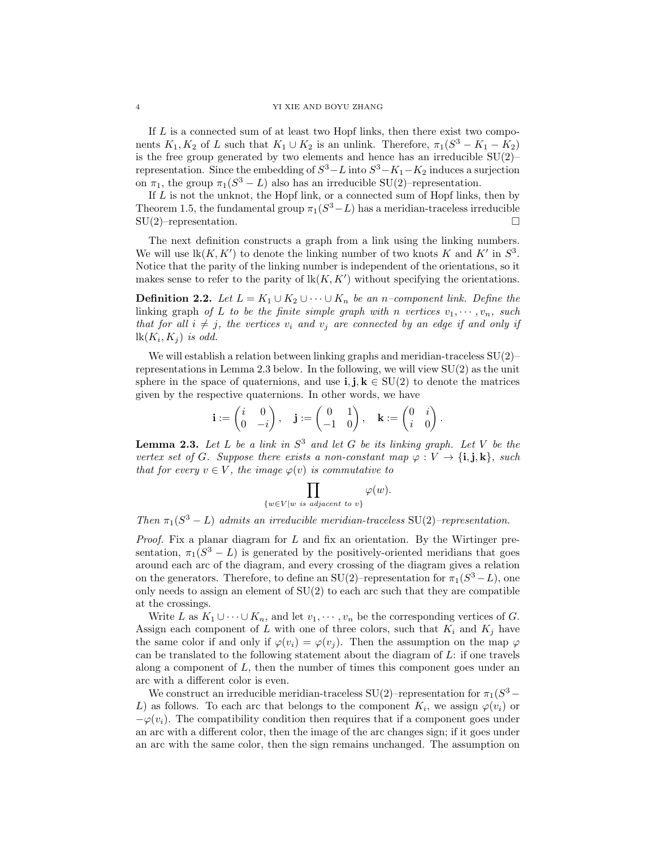## 4 YI XIE AND BOYU ZHANG

If  $L$  is a connected sum of at least two Hopf links, then there exist two components  $K_1, K_2$  of L such that  $K_1 \cup K_2$  is an unlink. Therefore,  $\pi_1(S^3 - K_1 - K_2)$ is the free group generated by two elements and hence has an irreducible  $SU(2)$ – representation. Since the embedding of  $S^3 - L$  into  $S^3 - K_1 - K_2$  induces a surjection on  $\pi_1$ , the group  $\pi_1(S^3 - L)$  also has an irreducible SU(2)–representation.

If  $L$  is not the unknot, the Hopf link, or a connected sum of Hopf links, then by Theorem [1.5,](#page-1-3) the fundamental group  $\pi_1(S^3 - L)$  has a meridian-traceless irreducible SU(2)–representation. □

The next definition constructs a graph from a link using the linking numbers. We will use  $\text{lk}(K, K')$  to denote the linking number of two knots K and K' in  $S^3$ . Notice that the parity of the linking number is independent of the orientations, so it makes sense to refer to the parity of  $\mathbb{R}(K, K')$  without specifying the orientations.

<span id="page-3-0"></span>**Definition 2.2.** Let  $L = K_1 \cup K_2 \cup \cdots \cup K_n$  be an n–component link. Define the linking graph of L to be the finite simple graph with n vertices  $v_1, \dots, v_n$ , such that for all  $i \neq j$ , the vertices  $v_i$  and  $v_j$  are connected by an edge if and only if  $lk(K_i, K_j)$  is odd.

We will establish a relation between linking graphs and meridian-traceless  $SU(2)$ – representations in Lemma [2.3](#page-3-1) below. In the following, we will view SU(2) as the unit sphere in the space of quaternions, and use **i**,  $\mathbf{i}, \mathbf{k} \in SU(2)$  to denote the matrices given by the respective quaternions. In other words, we have

$$
\mathbf{i} := \begin{pmatrix} i & 0 \\ 0 & -i \end{pmatrix}, \quad \mathbf{j} := \begin{pmatrix} 0 & 1 \\ -1 & 0 \end{pmatrix}, \quad \mathbf{k} := \begin{pmatrix} 0 & i \\ i & 0 \end{pmatrix}.
$$

<span id="page-3-1"></span>**Lemma 2.3.** Let L be a link in  $S^3$  and let G be its linking graph. Let V be the vertex set of G. Suppose there exists a non-constant map  $\varphi : V \to \{\mathbf{i}, \mathbf{j}, \mathbf{k}\}\$ , such that for every  $v \in V$ , the image  $\varphi(v)$  is commutative to

$$
\prod_{\{w \in V | w \text{ is adjacent to } v\}} \varphi(w).
$$

Then  $\pi_1(S^3 - L)$  admits an irreducible meridian-traceless SU(2)–representation.

*Proof.* Fix a planar diagram for  $L$  and fix an orientation. By the Wirtinger presentation,  $\pi_1(S^3 - L)$  is generated by the positively-oriented meridians that goes around each arc of the diagram, and every crossing of the diagram gives a relation on the generators. Therefore, to define an SU(2)–representation for  $\pi_1(S^3 - L)$ , one only needs to assign an element of  $SU(2)$  to each arc such that they are compatible at the crossings.

Write L as  $K_1 \cup \cdots \cup K_n$ , and let  $v_1, \cdots, v_n$  be the corresponding vertices of G. Assign each component of L with one of three colors, such that  $K_i$  and  $K_j$  have the same color if and only if  $\varphi(v_i) = \varphi(v_j)$ . Then the assumption on the map  $\varphi$ can be translated to the following statement about the diagram of  $L$ : if one travels along a component of L, then the number of times this component goes under an arc with a different color is even.

We construct an irreducible meridian-traceless SU(2)–representation for  $\pi_1(S^3 -$ L) as follows. To each arc that belongs to the component  $K_i$ , we assign  $\varphi(v_i)$  or  $-\varphi(v_i)$ . The compatibility condition then requires that if a component goes under an arc with a different color, then the image of the arc changes sign; if it goes under an arc with the same color, then the sign remains unchanged. The assumption on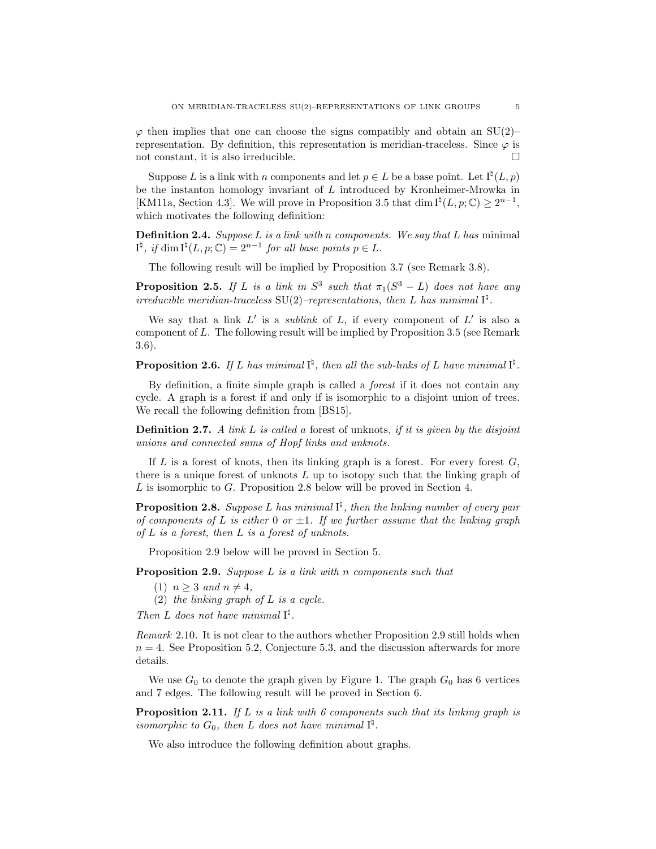$\varphi$  then implies that one can choose the signs compatibly and obtain an SU(2)– representation. By definition, this representation is meridian-traceless. Since  $\varphi$  is not constant, it is also irreducible.  $\Box$ 

Suppose L is a link with n components and let  $p \in L$  be a base point. Let  $I^{\natural}(L, p)$ be the instanton homology invariant of L introduced by Kronheimer-Mrowka in [\[KM11a,](#page-37-14) Section 4.3]. We will prove in Proposition [3.5](#page-11-0) that dim  $I^{\natural}(L, p; \mathbb{C}) \geq 2^{n-1}$ , which motivates the following definition:

<span id="page-4-0"></span>**Definition 2.4.** Suppose  $L$  is a link with n components. We say that  $L$  has minimal  $I^{\natural}$ , if dim  $I^{\natural}(L, p; \mathbb{C}) = 2^{n-1}$  for all base points  $p \in L$ .

The following result will be implied by Proposition [3.7](#page-12-0) (see Remark [3.8\)](#page-12-1).

<span id="page-4-3"></span>**Proposition 2.5.** If L is a link in  $S^3$  such that  $\pi_1(S^3 - L)$  does not have any irreducible meridian-traceless SU(2)-representations, then L has minimal  $I^{\natural}$ .

We say that a link  $L'$  is a sublink of  $L$ , if every component of  $L'$  is also a component of L. The following result will be implied by Proposition [3.5](#page-11-0) (see Remark [3.6\)](#page-11-1).

<span id="page-4-4"></span>**Proposition 2.6.** If L has minimal  $I^{\natural}$ , then all the sub-links of L have minimal  $I^{\natural}$ .

By definition, a finite simple graph is called a *forest* if it does not contain any cycle. A graph is a forest if and only if is isomorphic to a disjoint union of trees. We recall the following definition from [\[BS15\]](#page-36-5).

**Definition 2.7.** A link  $L$  is called a forest of unknots, if it is given by the disjoint unions and connected sums of Hopf links and unknots.

If  $L$  is a forest of knots, then its linking graph is a forest. For every forest  $G$ , there is a unique forest of unknots  $L$  up to isotopy such that the linking graph of L is isomorphic to G. Proposition [2.8](#page-4-1) below will be proved in Section [4.](#page-13-0)

<span id="page-4-1"></span>**Proposition 2.8.** Suppose L has minimal  $I^{\sharp}$ , then the linking number of every pair of components of L is either 0 or  $\pm 1$ . If we further assume that the linking graph of  $L$  is a forest, then  $L$  is a forest of unknots.

Proposition [2.9](#page-4-2) below will be proved in Section [5.](#page-19-0)

<span id="page-4-2"></span>**Proposition 2.9.** Suppose  $L$  is a link with n components such that

- (1)  $n \geq 3$  and  $n \neq 4$ ,
- (2) the linking graph of  $L$  is a cycle.

Then L does not have minimal  $I^{\natural}$ .

Remark 2.10. It is not clear to the authors whether Proposition [2.9](#page-4-2) still holds when  $n = 4$ . See Proposition [5.2,](#page-20-1) Conjecture [5.3,](#page-20-2) and the discussion afterwards for more details.

We use  $G_0$  to denote the graph given by Figure [1.](#page-5-1) The graph  $G_0$  has 6 vertices and 7 edges. The following result will be proved in Section [6.](#page-23-0)

<span id="page-4-5"></span>**Proposition 2.11.** If L is a link with 6 components such that its linking graph is isomorphic to  $G_0$ , then L does not have minimal  $I^{\natural}$ .

We also introduce the following definition about graphs.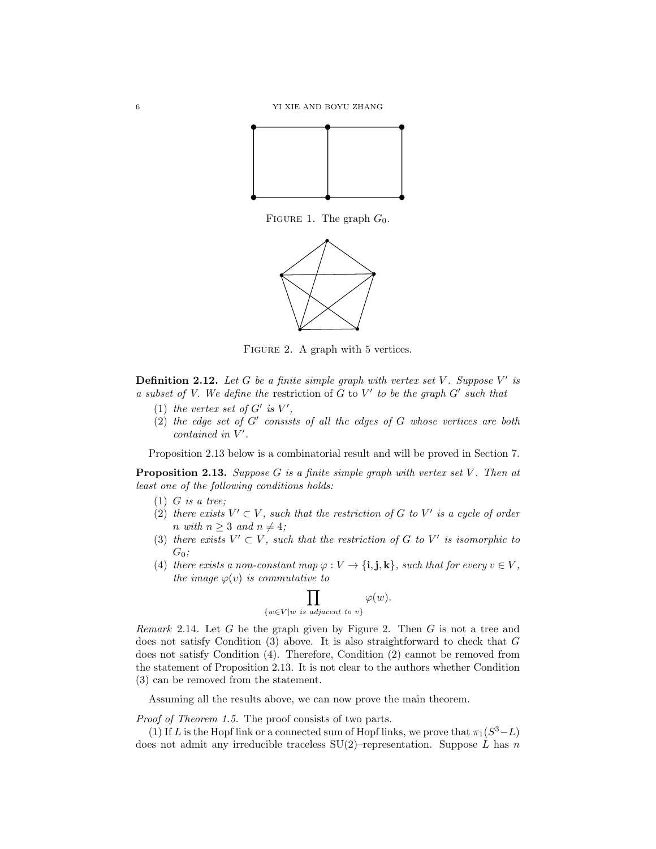<span id="page-5-1"></span>

<span id="page-5-3"></span>FIGURE 1. The graph  $G_0$ .



FIGURE 2. A graph with 5 vertices.

<span id="page-5-4"></span>**Definition 2.12.** Let  $G$  be a finite simple graph with vertex set  $V$ . Suppose  $V'$  is a subset of V. We define the restriction of  $G$  to  $V'$  to be the graph  $G'$  such that

- (1) the vertex set of  $G'$  is  $V'$ ,
- (2) the edge set of  $G'$  consists of all the edges of  $G$  whose vertices are both  $contained$  in  $V'$ .

Proposition [2.13](#page-5-2) below is a combinatorial result and will be proved in Section [7.](#page-32-0)

<span id="page-5-2"></span>**Proposition 2.13.** Suppose G is a finite simple graph with vertex set V. Then at least one of the following conditions holds:

- $(1)$  *G* is a tree:
- (2) there exists  $V' \subset V$ , such that the restriction of G to V' is a cycle of order n with  $n > 3$  and  $n \neq 4$ ;
- (3) there exists  $V' \subset V$ , such that the restriction of G to V' is isomorphic to  $G_0$ ;
- (4) there exists a non-constant map  $\varphi: V \to \{\mathbf{i}, \mathbf{j}, \mathbf{k}\},\$  such that for every  $v \in V$ , the image  $\varphi(v)$  is commutative to

$$
\prod_{\{w \in V | w \text{ is adjacent to } v\}} \varphi(w).
$$

<span id="page-5-0"></span>*Remark* [2.](#page-5-3)14. Let  $G$  be the graph given by Figure 2. Then  $G$  is not a tree and does not satisfy Condition (3) above. It is also straightforward to check that G does not satisfy Condition (4). Therefore, Condition (2) cannot be removed from the statement of Proposition [2.13.](#page-5-2) It is not clear to the authors whether Condition (3) can be removed from the statement.

Assuming all the results above, we can now prove the main theorem.

Proof of Theorem [1.5.](#page-1-3) The proof consists of two parts.

(1) If L is the Hopf link or a connected sum of Hopf links, we prove that  $\pi_1(S^3 - L)$ does not admit any irreducible traceless  $SU(2)$ –representation. Suppose L has n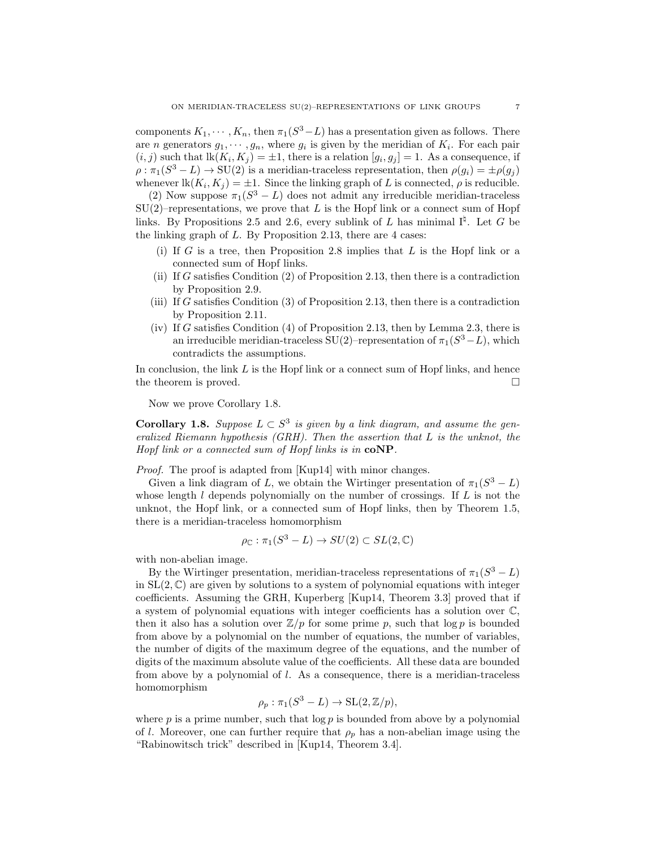components  $K_1, \dots, K_n$ , then  $\pi_1(S^3 - L)$  has a presentation given as follows. There are *n* generators  $g_1, \dots, g_n$ , where  $g_i$  is given by the meridian of  $K_i$ . For each pair  $(i, j)$  such that  $lk(K_i, K_j) = \pm 1$ , there is a relation  $[g_i, g_j] = 1$ . As a consequence, if  $\rho : \pi_1(S^3 - L) \to SU(2)$  is a meridian-traceless representation, then  $\rho(g_i) = \pm \rho(g_j)$ whenever  $\text{lk}(K_i, K_j) = \pm 1$ . Since the linking graph of L is connected,  $\rho$  is reducible.

(2) Now suppose  $\pi_1(S^3 - L)$  does not admit any irreducible meridian-traceless  $SU(2)$ –representations, we prove that L is the Hopf link or a connect sum of Hopf links. By Propositions [2.5](#page-4-3) and [2.6,](#page-4-4) every sublink of L has minimal  $I^{\natural}$ . Let G be the linking graph of L. By Proposition [2.13,](#page-5-2) there are 4 cases:

- (i) If G is a tree, then Proposition [2.8](#page-4-1) implies that  $L$  is the Hopf link or a connected sum of Hopf links.
- (ii) If G satisfies Condition  $(2)$  of Proposition [2.13,](#page-5-2) then there is a contradiction by Proposition [2.9.](#page-4-2)
- (iii) If G satisfies Condition (3) of Proposition [2.13,](#page-5-2) then there is a contradiction by Proposition [2.11.](#page-4-5)
- (iv) If G satisfies Condition (4) of Proposition [2.13,](#page-5-2) then by Lemma [2.3,](#page-3-1) there is an irreducible meridian-traceless SU(2)–representation of  $\pi_1(S^3 - L)$ , which contradicts the assumptions.

In conclusion, the link  $L$  is the Hopf link or a connect sum of Hopf links, and hence the theorem is proved.  $\square$ 

Now we prove Corollary [1.8.](#page-1-4)

**Corollary [1.8.](#page-1-4)** Suppose  $L \subset S^3$  is given by a link diagram, and assume the generalized Riemann hypothesis (GRH). Then the assertion that L is the unknot, the Hopf link or a connected sum of Hopf links is in  $coNP$ .

Proof. The proof is adapted from [\[Kup14\]](#page-37-12) with minor changes.

Given a link diagram of L, we obtain the Wirtinger presentation of  $\pi_1(S^3 - L)$ whose length  $l$  depends polynomially on the number of crossings. If  $L$  is not the unknot, the Hopf link, or a connected sum of Hopf links, then by Theorem [1.5,](#page-1-3) there is a meridian-traceless homomorphism

$$
\rho_{\mathbb{C}} : \pi_1(S^3 - L) \to SU(2) \subset SL(2, \mathbb{C})
$$

with non-abelian image.

By the Wirtinger presentation, meridian-traceless representations of  $\pi_1(S^3 - L)$ in  $SL(2,\mathbb{C})$  are given by solutions to a system of polynomial equations with integer coefficients. Assuming the GRH, Kuperberg [\[Kup14,](#page-37-12) Theorem 3.3] proved that if a system of polynomial equations with integer coefficients has a solution over C, then it also has a solution over  $\mathbb{Z}/p$  for some prime p, such that  $\log p$  is bounded from above by a polynomial on the number of equations, the number of variables, the number of digits of the maximum degree of the equations, and the number of digits of the maximum absolute value of the coefficients. All these data are bounded from above by a polynomial of l. As a consequence, there is a meridian-traceless homomorphism

$$
\rho_p : \pi_1(S^3 - L) \to \mathrm{SL}(2, \mathbb{Z}/p),
$$

where  $p$  is a prime number, such that  $\log p$  is bounded from above by a polynomial of l. Moreover, one can further require that  $\rho_p$  has a non-abelian image using the "Rabinowitsch trick" described in [\[Kup14,](#page-37-12) Theorem 3.4].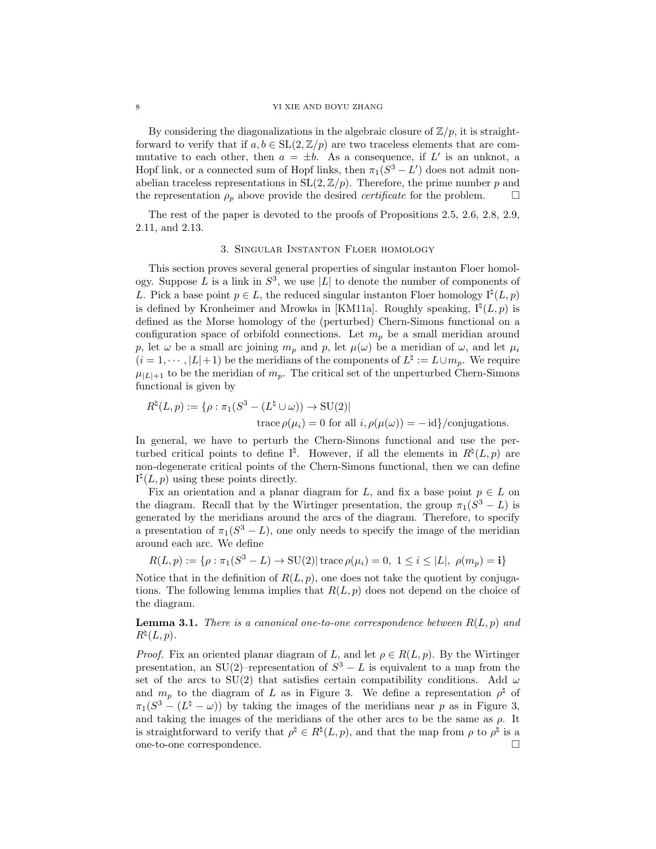#### 8 YI XIE AND BOYU ZHANG

By considering the diagonalizations in the algebraic closure of  $\mathbb{Z}/p$ , it is straightforward to verify that if  $a, b \in SL(2, \mathbb{Z}/p)$  are two traceless elements that are commutative to each other, then  $a = \pm b$ . As a consequence, if L' is an unknot, a Hopf link, or a connected sum of Hopf links, then  $\pi_1(S^3 - L')$  does not admit nonabelian traceless representations in  $SL(2, \mathbb{Z}/p)$ . Therefore, the prime number p and the representation  $\rho_p$  above provide the desired *certificate* for the problem.

The rest of the paper is devoted to the proofs of Propositions [2.5,](#page-4-3) [2.6,](#page-4-4) [2.8,](#page-4-1) [2.9,](#page-4-2) [2.11,](#page-4-5) and [2.13.](#page-5-2)

## 3. Singular Instanton Floer homology

<span id="page-7-0"></span>This section proves several general properties of singular instanton Floer homology. Suppose L is a link in  $S^3$ , we use |L| to denote the number of components of L. Pick a base point  $p \in L$ , the reduced singular instanton Floer homology  $I^{\natural}(L, p)$ is defined by Kronheimer and Mrowka in [\[KM11a\]](#page-37-14). Roughly speaking,  $I^{\natural}(L, p)$  is defined as the Morse homology of the (perturbed) Chern-Simons functional on a configuration space of orbifold connections. Let  $m_p$  be a small meridian around p, let  $\omega$  be a small arc joining  $m_p$  and p, let  $\mu(\omega)$  be a meridian of  $\omega$ , and let  $\mu_i$  $(i = 1, \dots, |L| + 1)$  be the meridians of the components of  $L^{\natural} := L \cup m_p$ . We require  $\mu_{|L|+1}$  to be the meridian of  $m_p$ . The critical set of the unperturbed Chern-Simons functional is given by

$$
R^{\natural}(L, p) := \{ \rho : \pi_1(S^3 - (L^{\natural} \cup \omega)) \to \text{SU}(2) |
$$
  
trace  $\rho(\mu_i) = 0$  for all  $i, \rho(\mu(\omega)) = -id \}/\text{conjugations.}$ 

In general, we have to perturb the Chern-Simons functional and use the perturbed critical points to define  $I^{\natural}$ . However, if all the elements in  $R^{\natural}(L, p)$  are non-degenerate critical points of the Chern-Simons functional, then we can define  $I^{\natural}(L, p)$  using these points directly.

Fix an orientation and a planar diagram for L, and fix a base point  $p \in L$  on the diagram. Recall that by the Wirtinger presentation, the group  $\pi_1(S^3 - L)$  is generated by the meridians around the arcs of the diagram. Therefore, to specify a presentation of  $\pi_1(S^3 - L)$ , one only needs to specify the image of the meridian around each arc. We define

$$
R(L, p) := \{ \rho : \pi_1(S^3 - L) \to \text{SU}(2) | \text{trace } \rho(\mu_i) = 0, \ 1 \le i \le |L|, \ \rho(m_p) = i \}
$$

Notice that in the definition of  $R(L, p)$ , one does not take the quotient by conjugations. The following lemma implies that  $R(L, p)$  does not depend on the choice of the diagram.

<span id="page-7-1"></span>**Lemma 3.1.** There is a canonical one-to-one correspondence between  $R(L, p)$  and  $R^{\natural}(L, p).$ 

*Proof.* Fix an oriented planar diagram of L, and let  $\rho \in R(L, p)$ . By the Wirtinger presentation, an SU(2)–representation of  $S^3 - L$  is equivalent to a map from the set of the arcs to SU(2) that satisfies certain compatibility conditions. Add  $\omega$ and  $m_p$  to the diagram of L as in Figure [3.](#page-8-0) We define a representation  $\rho^{\sharp}$  of  $\pi_1(S^3 - (L^{\natural} - \omega))$  by taking the images of the meridians near p as in Figure [3,](#page-8-0) and taking the images of the meridians of the other arcs to be the same as  $\rho$ . It is straightforward to verify that  $\rho^{\sharp} \in R^{\natural}(L, p)$ , and that the map from  $\rho$  to  $\rho^{\sharp}$  is a one-to-one correspondence.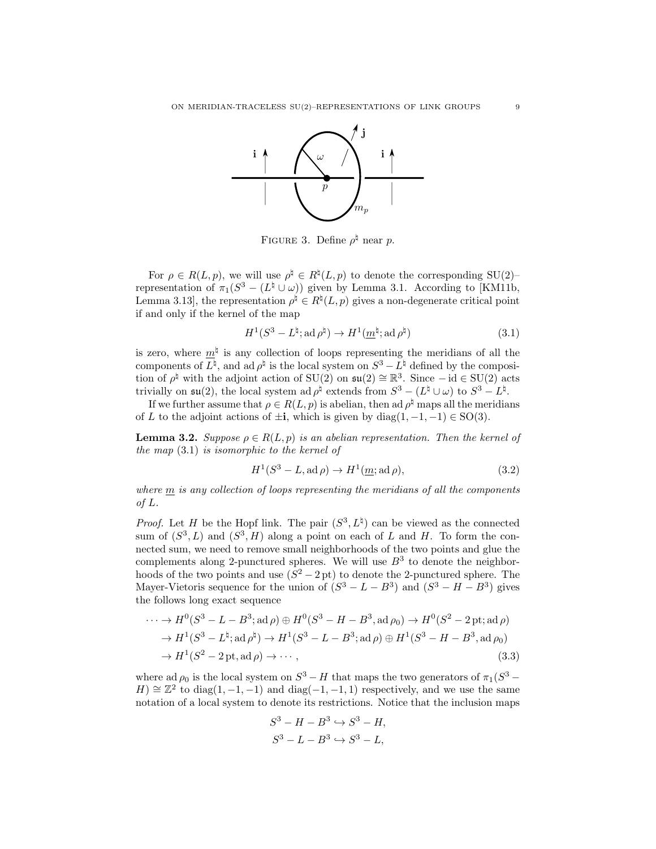<span id="page-8-0"></span>

FIGURE 3. Define  $\rho^{\natural}$  near p.

For  $\rho \in R(L, p)$ , we will use  $\rho^{\natural} \in R^{\natural}(L, p)$  to denote the corresponding SU(2)representation of  $\pi_1(S^3 - (L^{\natural} \cup \omega))$  given by Lemma [3.1.](#page-7-1) According to [\[KM11b,](#page-37-15) Lemma 3.13, the representation  $\rho^{\natural} \in R^{\natural}(L, p)$  gives a non-degenerate critical point if and only if the kernel of the map

<span id="page-8-1"></span>
$$
H^1(S^3 - L^\natural; \operatorname{ad} \rho^\natural) \to H^1(\underline{m}^\natural; \operatorname{ad} \rho^\natural) \tag{3.1}
$$

is zero, where  $m^{\natural}$  is any collection of loops representing the meridians of all the components of  $L^{\natural}$ , and ad  $\rho^{\natural}$  is the local system on  $S^3 - L^{\natural}$  defined by the composition of  $\rho^{\natural}$  with the adjoint action of SU(2) on  $\mathfrak{su}(2) \cong \mathbb{R}^3$ . Since  $-\mathrm{id} \in \mathrm{SU}(2)$  acts trivially on  $\mathfrak{su}(2)$ , the local system ad  $\rho^{\natural}$  extends from  $S^3 - (L^{\natural} \cup \omega)$  to  $S^3 - L^{\natural}$ .

If we further assume that  $\rho \in R(L, p)$  is abelian, then ad  $\rho^{\sharp}$  maps all the meridians of L to the adjoint actions of  $\pm i$ , which is given by diag(1, -1, -1)  $\in$  SO(3).

<span id="page-8-4"></span>**Lemma 3.2.** Suppose  $\rho \in R(L, p)$  is an abelian representation. Then the kernel of the map [\(3.1\)](#page-8-1) is isomorphic to the kernel of

<span id="page-8-3"></span>
$$
H1(S3 - L, ad \rho) \to H1(m; ad \rho),
$$
\n(3.2)

where m is any collection of loops representing the meridians of all the components of L.

*Proof.* Let H be the Hopf link. The pair  $(S^3, L^{\natural})$  can be viewed as the connected sum of  $(S^3, L)$  and  $(S^3, H)$  along a point on each of L and H. To form the connected sum, we need to remove small neighborhoods of the two points and glue the complements along 2-punctured spheres. We will use  $B<sup>3</sup>$  to denote the neighborhoods of the two points and use  $(S^2 - 2pt)$  to denote the 2-punctured sphere. The Mayer-Vietoris sequence for the union of  $(S^3 - L - B^3)$  and  $(S^3 - H - B^3)$  gives the follows long exact sequence

$$
\cdots \to H^0(S^3 - L - B^3; \text{ad } \rho) \oplus H^0(S^3 - H - B^3, \text{ad } \rho_0) \to H^0(S^2 - 2 \text{ pt}; \text{ad } \rho)
$$
  
\n
$$
\to H^1(S^3 - L^{\natural}; \text{ad } \rho^{\natural}) \to H^1(S^3 - L - B^3; \text{ad } \rho) \oplus H^1(S^3 - H - B^3, \text{ad } \rho_0)
$$
  
\n
$$
\to H^1(S^2 - 2 \text{ pt}; \text{ad } \rho) \to \cdots,
$$
\n(3.3)

where ad  $\rho_0$  is the local system on  $S^3 - H$  that maps the two generators of  $\pi_1(S^3 H \cong \mathbb{Z}^2$  to diag(1, -1, -1) and diag(-1, -1, 1) respectively, and we use the same notation of a local system to denote its restrictions. Notice that the inclusion maps

<span id="page-8-2"></span>
$$
S^3 - H - B^3 \hookrightarrow S^3 - H,
$$
  

$$
S^3 - L - B^3 \hookrightarrow S^3 - L,
$$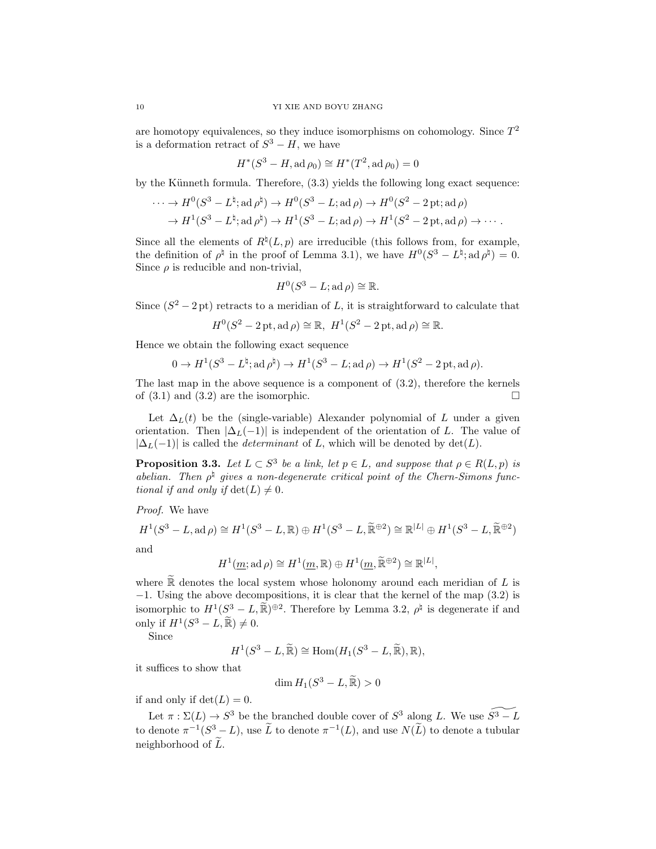are homotopy equivalences, so they induce isomorphisms on cohomology. Since  $T^2$ is a deformation retract of  $S^3 - H$ , we have

$$
H^*(S^3 - H, \text{ad}\,\rho_0) \cong H^*(T^2, \text{ad}\,\rho_0) = 0
$$

by the Künneth formula. Therefore,  $(3.3)$  yields the following long exact sequence:

$$
\cdots \to H^0(S^3 - L^{\natural}; \operatorname{ad} \rho^{\natural}) \to H^0(S^3 - L; \operatorname{ad} \rho) \to H^0(S^2 - 2 \operatorname{pt}; \operatorname{ad} \rho)
$$
  

$$
\to H^1(S^3 - L^{\natural}; \operatorname{ad} \rho^{\natural}) \to H^1(S^3 - L; \operatorname{ad} \rho) \to H^1(S^2 - 2 \operatorname{pt}, \operatorname{ad} \rho) \to \cdots.
$$

Since all the elements of  $R^{\natural}(L, p)$  are irreducible (this follows from, for example, the definition of  $\rho^{\sharp}$  in the proof of Lemma [3.1\)](#page-7-1), we have  $H^{0}(S^{3} - L^{\sharp}; \operatorname{ad} \rho^{\sharp}) = 0$ . Since  $\rho$  is reducible and non-trivial,

$$
H^0(S^3 - L; \mathrm{ad}\,\rho) \cong \mathbb{R}.
$$

Since  $(S^2 - 2pt)$  retracts to a meridian of L, it is straightforward to calculate that

$$
H^0(S^2 - 2\text{ pt}, \text{ad}\,\rho) \cong \mathbb{R}, H^1(S^2 - 2\text{ pt}, \text{ad}\,\rho) \cong \mathbb{R}.
$$

Hence we obtain the following exact sequence

$$
0 \to H^1(S^3 - L^{\natural}; \operatorname{ad} \rho^{\natural}) \to H^1(S^3 - L; \operatorname{ad} \rho) \to H^1(S^2 - 2\operatorname{pt}, \operatorname{ad} \rho).
$$

The last map in the above sequence is a component of [\(3.2\)](#page-8-3), therefore the kernels of  $(3.1)$  and  $(3.2)$  are the isomorphic.

Let  $\Delta_L(t)$  be the (single-variable) Alexander polynomial of L under a given orientation. Then  $|\Delta_L(-1)|$  is independent of the orientation of L. The value of  $|\Delta_L(-1)|$  is called the *determinant* of L, which will be denoted by det(L).

<span id="page-9-0"></span>**Proposition 3.3.** Let  $L \subset S^3$  be a link, let  $p \in L$ , and suppose that  $\rho \in R(L, p)$  is abelian. Then  $\rho^{\sharp}$  gives a non-degenerate critical point of the Chern-Simons functional if and only if  $\det(L) \neq 0$ .

Proof. We have

$$
H^1(S^3 - L, \operatorname{ad} \rho) \cong H^1(S^3 - L, \mathbb{R}) \oplus H^1(S^3 - L, \widetilde{\mathbb{R}}^{\oplus 2}) \cong \mathbb{R}^{|L|} \oplus H^1(S^3 - L, \widetilde{\mathbb{R}}^{\oplus 2})
$$
  
and

$$
H^1(\underline{m}; \mathrm{ad}\,\rho) \cong H^1(\underline{m}, \mathbb{R}) \oplus H^1(\underline{m}, \widetilde{\mathbb{R}}^{\oplus 2}) \cong \mathbb{R}^{|L|},
$$

where  $\mathbb R$  denotes the local system whose holonomy around each meridian of  $L$  is −1. Using the above decompositions, it is clear that the kernel of the map [\(3.2\)](#page-8-3) is isomorphic to  $H^1(S^3 - L, \widetilde{\mathbb{R}})^{\oplus 2}$ . Therefore by Lemma [3.2,](#page-8-4)  $\rho^{\natural}$  is degenerate if and only if  $H^1(S^3 - L, \widetilde{\mathbb{R}}) \neq 0$ .

Since

$$
H^1(S^3 - L, \widetilde{\mathbb{R}}) \cong \text{Hom}(H_1(S^3 - L, \widetilde{\mathbb{R}}), \mathbb{R}),
$$

it suffices to show that

$$
\dim H_1(S^3 - L, \widetilde{\mathbb{R}}) > 0
$$

if and only if  $\det(L) = 0$ .

Let  $\pi : \Sigma(L) \to S^3$  be the branched double cover of  $S^3$  along L. We use  $\widetilde{S^3 - L}$ to denote  $\pi^{-1}(S^3 - L)$ , use  $\tilde{L}$  to denote  $\pi^{-1}(L)$ , and use  $N(\tilde{L})$  to denote a tubular neighborhood of  $\tilde{L}$ .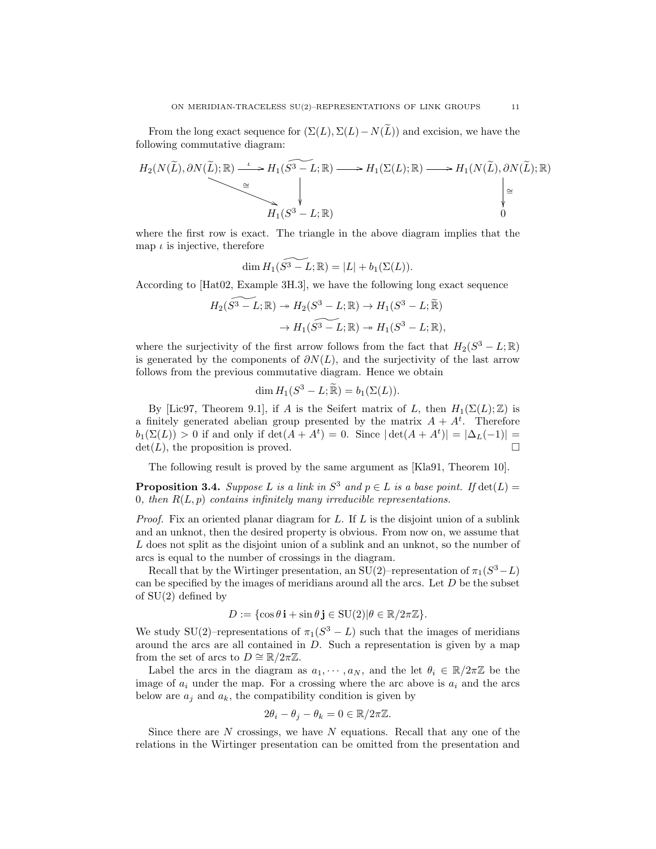From the long exact sequence for  $(\Sigma(L), \Sigma(L)-N(\tilde{L}))$  and excision, we have the following commutative diagram:

$$
H_2(N(\widetilde{L}), \partial N(\widetilde{L}); \mathbb{R}) \xrightarrow{\iota} H_1(S^3 - L; \mathbb{R}) \longrightarrow H_1(\Sigma(L); \mathbb{R}) \longrightarrow H_1(N(\widetilde{L}), \partial N(\widetilde{L}); \mathbb{R})
$$
  
\n
$$
\xrightarrow{\cong} H_1(S^3 - L; \mathbb{R})
$$

where the first row is exact. The triangle in the above diagram implies that the map  $\iota$  is injective, therefore

$$
\dim H_1(\widetilde{S^3 - L}; \mathbb{R}) = |L| + b_1(\Sigma(L)).
$$

According to [\[Hat02,](#page-37-17) Example 3H.3], we have the following long exact sequence

$$
H_2(\widetilde{S^3 - L}; \mathbb{R}) \to H_2(S^3 - L; \mathbb{R}) \to H_1(S^3 - L; \widetilde{\mathbb{R}})
$$

$$
\to H_1(\widetilde{S^3 - L}; \mathbb{R}) \to H_1(S^3 - L; \mathbb{R}),
$$

where the surjectivity of the first arrow follows from the fact that  $H_2(S^3 - L; \mathbb{R})$ is generated by the components of  $\partial N(L)$ , and the surjectivity of the last arrow follows from the previous commutative diagram. Hence we obtain

$$
\dim H_1(S^3 - L; \widetilde{\mathbb{R}}) = b_1(\Sigma(L)).
$$

By [\[Lic97,](#page-37-18) Theorem 9.1], if A is the Seifert matrix of L, then  $H_1(\Sigma(L);\mathbb{Z})$  is a finitely generated abelian group presented by the matrix  $A + A^t$ . Therefore  $b_1(\Sigma(L)) > 0$  if and only if  $\det(A + A^t) = 0$ . Since  $|\det(A + A^t)| = |\Delta_L(-1)| =$  $\det(L)$ , the proposition is proved.

The following result is proved by the same argument as [\[Kla91,](#page-37-19) Theorem 10].

<span id="page-10-0"></span>**Proposition 3.4.** Suppose L is a link in  $S^3$  and  $p \in L$  is a base point. If  $\det(L)$ 0, then  $R(L, p)$  contains infinitely many irreducible representations.

*Proof.* Fix an oriented planar diagram for  $L$ . If  $L$  is the disjoint union of a sublink and an unknot, then the desired property is obvious. From now on, we assume that L does not split as the disjoint union of a sublink and an unknot, so the number of arcs is equal to the number of crossings in the diagram.

Recall that by the Wirtinger presentation, an SU(2)–representation of  $\pi_1(S^3 - L)$ can be specified by the images of meridians around all the arcs. Let  $D$  be the subset of SU(2) defined by

$$
D := \{ \cos \theta \, \mathbf{i} + \sin \theta \, \mathbf{j} \in \mathrm{SU}(2) | \theta \in \mathbb{R} / 2\pi \mathbb{Z} \}.
$$

We study SU(2)–representations of  $\pi_1(S^3 - L)$  such that the images of meridians around the arcs are all contained in  $D$ . Such a representation is given by a map from the set of arcs to  $D \cong \mathbb{R}/2\pi\mathbb{Z}$ .

Label the arcs in the diagram as  $a_1, \dots, a_N$ , and the let  $\theta_i \in \mathbb{R}/2\pi\mathbb{Z}$  be the image of  $a_i$  under the map. For a crossing where the arc above is  $a_i$  and the arcs below are  $a_i$  and  $a_k$ , the compatibility condition is given by

$$
2\theta_i - \theta_j - \theta_k = 0 \in \mathbb{R}/2\pi\mathbb{Z}.
$$

Since there are  $N$  crossings, we have  $N$  equations. Recall that any one of the relations in the Wirtinger presentation can be omitted from the presentation and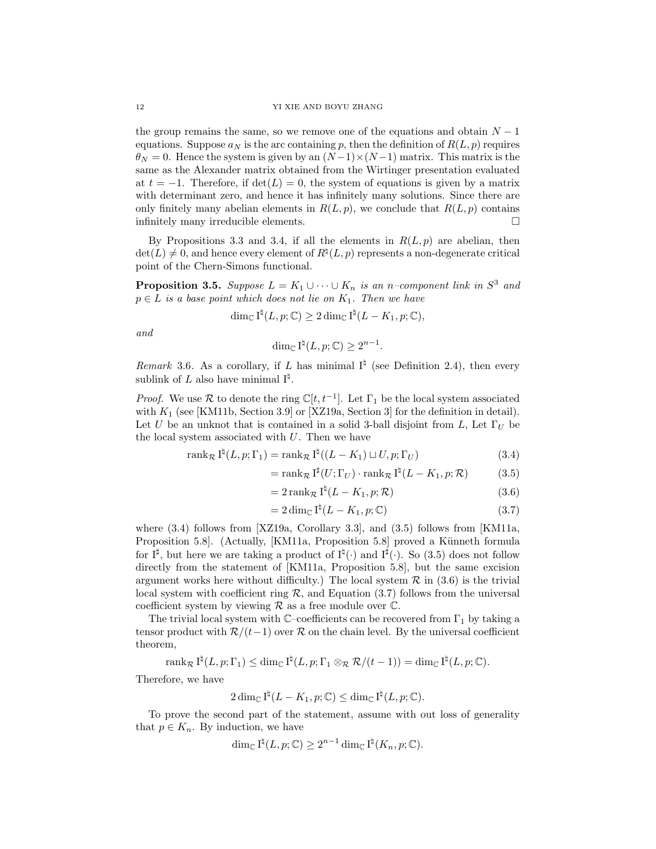the group remains the same, so we remove one of the equations and obtain  $N-1$ equations. Suppose  $a_N$  is the arc containing p, then the definition of  $R(L, p)$  requires  $\theta_N = 0$ . Hence the system is given by an  $(N-1) \times (N-1)$  matrix. This matrix is the same as the Alexander matrix obtained from the Wirtinger presentation evaluated at  $t = -1$ . Therefore, if  $det(L) = 0$ , the system of equations is given by a matrix with determinant zero, and hence it has infinitely many solutions. Since there are only finitely many abelian elements in  $R(L, p)$ , we conclude that  $R(L, p)$  contains infinitely many irreducible elements.

By Propositions [3.3](#page-9-0) and [3.4,](#page-10-0) if all the elements in  $R(L, p)$  are abelian, then  $\det(L) \neq 0$ , and hence every element of  $R^{\natural}(L, p)$  represents a non-degenerate critical point of the Chern-Simons functional.

<span id="page-11-0"></span>**Proposition 3.5.** Suppose  $L = K_1 \cup \cdots \cup K_n$  is an n-component link in  $S^3$  and  $p \in L$  is a base point which does not lie on  $K_1$ . Then we have

$$
\dim_{\mathbb{C}} I^{\natural}(L,p;\mathbb{C}) \geq 2 \dim_{\mathbb{C}} I^{\natural}(L-K_1,p;\mathbb{C}),
$$

and

$$
\dim_{\mathbb{C}} I^{\natural}(L, p; \mathbb{C}) \geq 2^{n-1}.
$$

<span id="page-11-1"></span>Remark 3.6. As a corollary, if L has minimal  $I^{\natural}$  (see Definition [2.4\)](#page-4-0), then every sublink of L also have minimal  $I^{\natural}$ .

*Proof.* We use R to denote the ring  $\mathbb{C}[t, t^{-1}]$ . Let  $\Gamma_1$  be the local system associated with  $K_1$  (see [\[KM11b,](#page-37-15) Section 3.9] or [\[XZ19a,](#page-38-5) Section 3] for the definition in detail). Let U be an unknot that is contained in a solid 3-ball disjoint from L, Let  $\Gamma_U$  be the local system associated with  $U$ . Then we have

$$
\operatorname{rank}_{\mathcal{R}} I^{\natural}(L, p; \Gamma_1) = \operatorname{rank}_{\mathcal{R}} I^{\natural}((L - K_1) \sqcup U, p; \Gamma_U)
$$
\n(3.4)

<span id="page-11-2"></span>
$$
= \operatorname{rank}_{\mathcal{R}} I^{\sharp}(U; \Gamma_{U}) \cdot \operatorname{rank}_{\mathcal{R}} I^{\sharp}(L - K_{1}, p; \mathcal{R}) \tag{3.5}
$$

<span id="page-11-3"></span>
$$
=2\operatorname{rank}_{\mathcal{R}}I^{\natural}(L-K_1,p;\mathcal{R})
$$
\n(3.6)

<span id="page-11-5"></span><span id="page-11-4"></span>
$$
= 2\dim_{\mathbb{C}} I^{\natural}(L - K_1, p; \mathbb{C}) \tag{3.7}
$$

where [\(3.4\)](#page-11-2) follows from [\[XZ19a,](#page-38-5) Corollary 3.3], and [\(3.5\)](#page-11-3) follows from [\[KM11a,](#page-37-14) Proposition 5.8]. (Actually, [\[KM11a,](#page-37-14) Proposition 5.8] proved a Künneth formula for  $I^{\sharp}$ , but here we are taking a product of  $I^{\sharp}(\cdot)$  and  $I^{\sharp}(\cdot)$ . So [\(3.5\)](#page-11-3) does not follow directly from the statement of [\[KM11a,](#page-37-14) Proposition 5.8], but the same excision argument works here without difficulty.) The local system  $\mathcal R$  in [\(3.6\)](#page-11-4) is the trivial local system with coefficient ring  $\mathcal{R}$ , and Equation [\(3.7\)](#page-11-5) follows from the universal coefficient system by viewing  $R$  as a free module over  $\mathbb{C}$ .

The trivial local system with  $\mathbb{C}$ –coefficients can be recovered from  $\Gamma_1$  by taking a tensor product with  $\mathcal{R}/(t-1)$  over  $\mathcal R$  on the chain level. By the universal coefficient theorem,

$$
\operatorname{rank}_{\mathcal{R}} I^{\natural}(L, p; \Gamma_1) \leq \dim_{\mathbb{C}} I^{\natural}(L, p; \Gamma_1 \otimes_{\mathcal{R}} \mathcal{R}/(t-1)) = \dim_{\mathbb{C}} I^{\natural}(L, p; \mathbb{C}).
$$

Therefore, we have

$$
2\dim_{\mathbb{C}}\mathrm{I}^{\natural}(L-K_1,p;\mathbb{C})\leq \dim_{\mathbb{C}}\mathrm{I}^{\natural}(L,p;\mathbb{C}).
$$

To prove the second part of the statement, assume with out loss of generality that  $p \in K_n$ . By induction, we have

$$
\dim_{\mathbb{C}} I^{\natural}(L,p;\mathbb{C}) \geq 2^{n-1} \dim_{\mathbb{C}} I^{\natural}(K_n,p;\mathbb{C}).
$$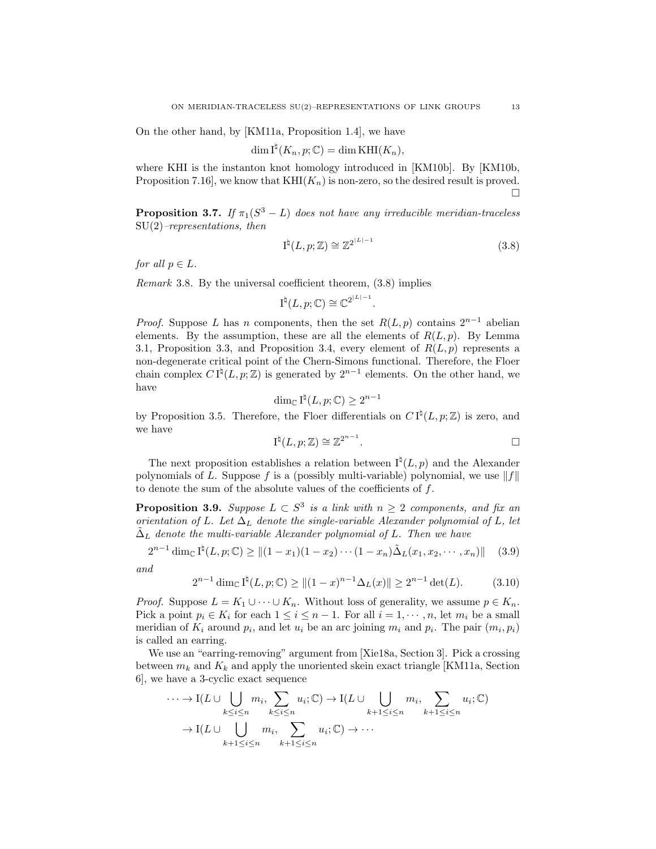On the other hand, by [\[KM11a,](#page-37-14) Proposition 1.4], we have

$$
\dim \mathrm{I}^{\natural}(K_n, p; \mathbb{C}) = \dim \mathrm{KHI}(K_n),
$$

where KHI is the instanton knot homology introduced in [\[KM10b\]](#page-37-10). By [\[KM10b,](#page-37-10) Proposition 7.16], we know that  $KHI(K_n)$  is non-zero, so the desired result is proved. П

<span id="page-12-0"></span>**Proposition 3.7.** If  $\pi_1(S^3 - L)$  does not have any irreducible meridian-traceless  $SU(2)$ –representations, then

<span id="page-12-2"></span>
$$
I^{\natural}(L, p; \mathbb{Z}) \cong \mathbb{Z}^{2^{|L|-1}} \tag{3.8}
$$

.

for all  $p \in L$ .

<span id="page-12-1"></span>Remark 3.8. By the universal coefficient theorem, [\(3.8\)](#page-12-2) implies

$$
\mathrm{I}^{\natural}(L,p;\mathbb{C})\cong \mathbb{C}^{2^{\mid L\mid-1}}
$$

*Proof.* Suppose L has n components, then the set  $R(L, p)$  contains  $2^{n-1}$  abelian elements. By the assumption, these are all the elements of  $R(L, p)$ . By Lemma [3.1,](#page-7-1) Proposition [3.3,](#page-9-0) and Proposition [3.4,](#page-10-0) every element of  $R(L, p)$  represents a non-degenerate critical point of the Chern-Simons functional. Therefore, the Floer chain complex  $C I^{\natural}(L, p; \mathbb{Z})$  is generated by  $2^{n-1}$  elements. On the other hand, we have

$$
\dim_{\mathbb{C}} I^{\natural}(L, p; \mathbb{C}) \ge 2^{n-1}
$$

by Proposition [3.5.](#page-11-0) Therefore, the Floer differentials on  $C I^{\natural}(L, p; \mathbb{Z})$  is zero, and we have

$$
I^{\natural}(L, p; \mathbb{Z}) \cong \mathbb{Z}^{2^{n-1}}.
$$

The next proposition establishes a relation between  $I^{\dagger}(L, p)$  and the Alexander polynomials of L. Suppose f is a (possibly multi-variable) polynomial, we use  $||f||$ to denote the sum of the absolute values of the coefficients of  $f$ .

<span id="page-12-5"></span>**Proposition 3.9.** Suppose  $L \subset S^3$  is a link with  $n \geq 2$  components, and fix an orientation of L. Let  $\Delta_L$  denote the single-variable Alexander polynomial of L, let  $\Delta_L$  denote the multi-variable Alexander polynomial of L. Then we have

<span id="page-12-3"></span>
$$
2^{n-1} \dim_{\mathbb{C}} I^{\natural}(L, p; \mathbb{C}) \ge ||(1-x_1)(1-x_2)\cdots(1-x_n)\tilde{\Delta}_L(x_1, x_2, \cdots, x_n)|| \quad (3.9)
$$

and

<span id="page-12-4"></span>
$$
2^{n-1}\dim_{\mathbb{C}}I^{\natural}(L,p;\mathbb{C}) \ge ||(1-x)^{n-1}\Delta_L(x)|| \ge 2^{n-1}\det(L). \tag{3.10}
$$

*Proof.* Suppose  $L = K_1 \cup \cdots \cup K_n$ . Without loss of generality, we assume  $p \in K_n$ . Pick a point  $p_i \in K_i$  for each  $1 \leq i \leq n-1$ . For all  $i = 1, \dots, n$ , let  $m_i$  be a small meridian of  $K_i$  around  $p_i$ , and let  $u_i$  be an arc joining  $m_i$  and  $p_i$ . The pair  $(m_i, p_i)$ is called an earring.

We use an "earring-removing" argument from [\[Xie18a,](#page-38-6) Section 3]. Pick a crossing between  $m_k$  and  $K_k$  and apply the unoriented skein exact triangle [\[KM11a,](#page-37-14) Section 6], we have a 3-cyclic exact sequence

$$
\cdots \to I(L \cup \bigcup_{k \leq i \leq n} m_i, \sum_{k \leq i \leq n} u_i; \mathbb{C}) \to I(L \cup \bigcup_{k+1 \leq i \leq n} m_i, \sum_{k+1 \leq i \leq n} u_i; \mathbb{C})
$$

$$
\to I(L \cup \bigcup_{k+1 \leq i \leq n} m_i, \sum_{k+1 \leq i \leq n} u_i; \mathbb{C}) \to \cdots
$$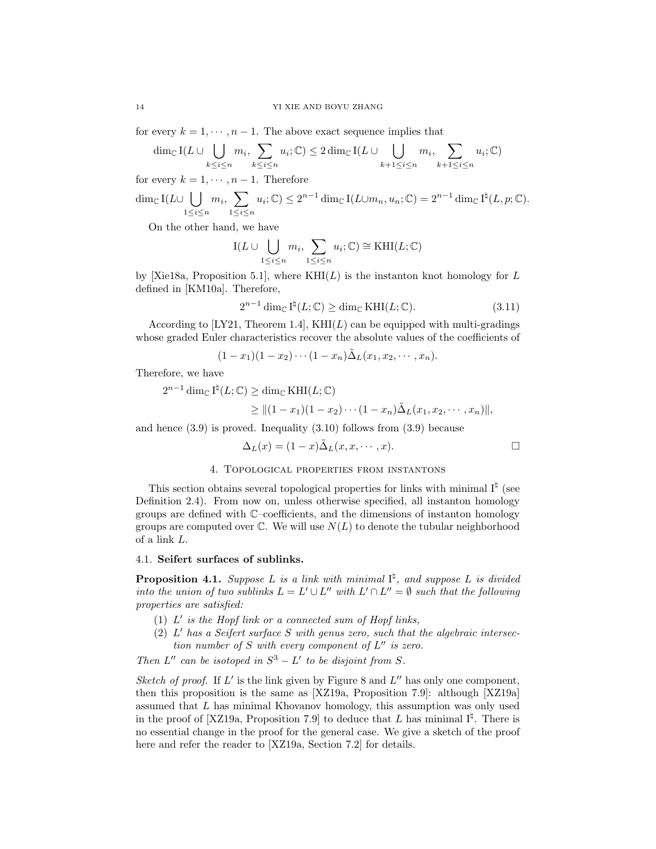for every  $k = 1, \dots, n-1$ . The above exact sequence implies that

$$
\dim_{\mathbb{C}} I(L \cup \bigcup_{k \leq i \leq n} m_i, \sum_{k \leq i \leq n} u_i; \mathbb{C}) \leq 2 \dim_{\mathbb{C}} I(L \cup \bigcup_{k+1 \leq i \leq n} m_i, \sum_{k+1 \leq i \leq n} u_i; \mathbb{C})
$$

for every  $k = 1, \dots, n - 1$ . Therefore

$$
\dim_{\mathbb{C}} I(L \cup \bigcup_{1 \leq i \leq n} m_i, \sum_{1 \leq i \leq n} u_i; \mathbb{C}) \leq 2^{n-1} \dim_{\mathbb{C}} I(L \cup m_n, u_n; \mathbb{C}) = 2^{n-1} \dim_{\mathbb{C}} I^{\natural}(L, p; \mathbb{C}).
$$

On the other hand, we have

$$
I(L \cup \bigcup_{1 \leq i \leq n} m_i, \sum_{1 \leq i \leq n} u_i; \mathbb{C}) \cong \text{KHI}(L; \mathbb{C})
$$

by [\[Xie18a,](#page-38-6) Proposition 5.1], where  $KHI(L)$  is the instanton knot homology for L defined in [\[KM10a\]](#page-37-20). Therefore,

<span id="page-13-2"></span>
$$
2^{n-1}\dim_{\mathbb{C}}\mathrm{I}^{\natural}(L;\mathbb{C})\geq \dim_{\mathbb{C}}\mathrm{KHI}(L;\mathbb{C}).\tag{3.11}
$$

According to [\[LY21,](#page-37-21) Theorem 1.4],  $KHI(L)$  can be equipped with multi-gradings whose graded Euler characteristics recover the absolute values of the coefficients of

$$
(1-x_1)(1-x_2)\cdots(1-x_n)\tilde{\Delta}_L(x_1,x_2,\cdots,x_n).
$$

Therefore, we have

 $2^{n-1} \dim_{\mathbb{C}} I^{\natural}(L; \mathbb{C}) \geq \dim_{\mathbb{C}} \operatorname{KHI}(L; \mathbb{C})$ 

$$
\geq ||(1-x_1)(1-x_2)\cdots(1-x_n)\tilde{\Delta}_L(x_1,x_2,\cdots,x_n)||,
$$

and hence [\(3.9\)](#page-12-3) is proved. Inequality [\(3.10\)](#page-12-4) follows from [\(3.9\)](#page-12-3) because

$$
\Delta_L(x) = (1-x)\tilde{\Delta}_L(x, x, \cdots, x).
$$

## 4. Topological properties from instantons

<span id="page-13-0"></span>This section obtains several topological properties for links with minimal  $I^{\natural}$  (see Definition [2.4\)](#page-4-0). From now on, unless otherwise specified, all instanton homology groups are defined with C–coefficients, and the dimensions of instanton homology groups are computed over  $\mathbb C$ . We will use  $N(L)$  to denote the tubular neighborhood of a link L.

## 4.1. Seifert surfaces of sublinks.

<span id="page-13-1"></span>**Proposition 4.1.** Suppose L is a link with minimal  $I^{\sharp}$ , and suppose L is divided into the union of two sublinks  $L = L' \cup L''$  with  $L' \cap L'' = \emptyset$  such that the following properties are satisfied:

- (1)  $L'$  is the Hopf link or a connected sum of Hopf links,
- (2)  $L'$  has a Seifert surface S with genus zero, such that the algebraic intersection number of S with every component of  $L''$  is zero.

Then  $L''$  can be isotoped in  $S^3 - L'$  to be disjoint from S.

Sketch of proof. If  $L'$  is the link given by Figure [8](#page-21-0) and  $L''$  has only one component, then this proposition is the same as [\[XZ19a,](#page-38-5) Proposition 7.9]: although [\[XZ19a\]](#page-38-5) assumed that L has minimal Khovanov homology, this assumption was only used in the proof of [\[XZ19a,](#page-38-5) Proposition 7.9] to deduce that L has minimal  $I^{\natural}$ . There is no essential change in the proof for the general case. We give a sketch of the proof here and refer the reader to [\[XZ19a,](#page-38-5) Section 7.2] for details.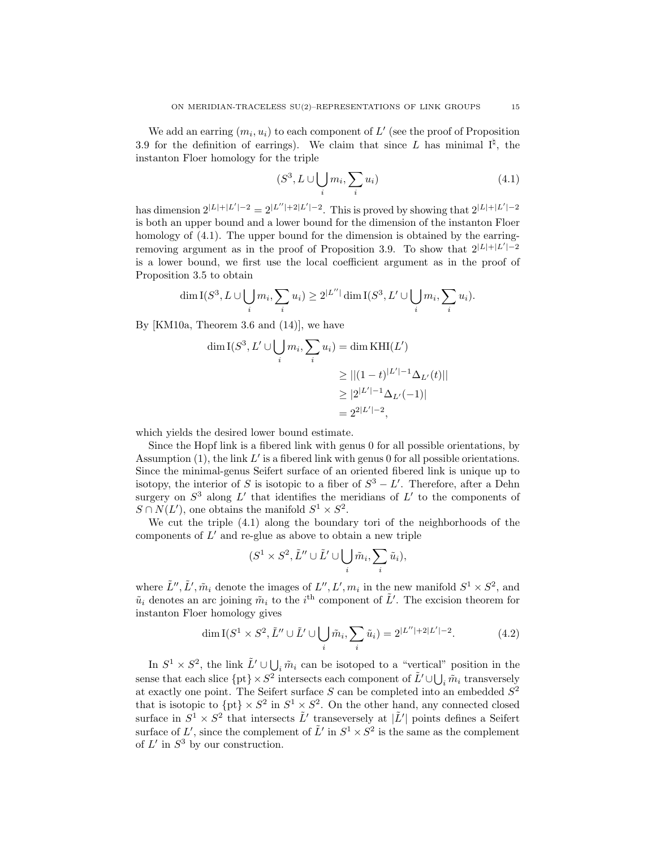We add an earring  $(m_i, u_i)$  to each component of  $L'$  (see the proof of Proposition [3.9](#page-12-5) for the definition of earrings). We claim that since L has minimal  $I^{\natural}$ , the instanton Floer homology for the triple

<span id="page-14-0"></span>
$$
(S^3, L \cup \bigcup_i m_i, \sum_i u_i) \tag{4.1}
$$

has dimension  $2^{|L|+|L'|-2} = 2^{|L''|+2|L'|-2}$ . This is proved by showing that  $2^{|L|+|L'|-2}$ is both an upper bound and a lower bound for the dimension of the instanton Floer homology of  $(4.1)$ . The upper bound for the dimension is obtained by the earring-removing argument as in the proof of Proposition [3.9.](#page-12-5) To show that  $2^{|L|+|L'|-2}$ is a lower bound, we first use the local coefficient argument as in the proof of Proposition [3.5](#page-11-0) to obtain

$$
\dim \mathcal{I}(S^3, L \cup \bigcup_i m_i, \sum_i u_i) \ge 2^{|L''|} \dim \mathcal{I}(S^3, L' \cup \bigcup_i m_i, \sum_i u_i).
$$

By [\[KM10a,](#page-37-20) Theorem 3.6 and (14)], we have

$$
\dim I(S^3, L' \cup \bigcup_i m_i, \sum_i u_i) = \dim \text{KHI}(L')
$$
  
\n
$$
\geq ||(1-t)^{|L'|-1} \Delta_{L'}(t)||
$$
  
\n
$$
\geq |2^{|L'|-1} \Delta_{L'}(-1)|
$$
  
\n
$$
= 2^{|L'|-2},
$$

which yields the desired lower bound estimate.

Since the Hopf link is a fibered link with genus 0 for all possible orientations, by Assumption  $(1)$ , the link  $L'$  is a fibered link with genus 0 for all possible orientations. Since the minimal-genus Seifert surface of an oriented fibered link is unique up to isotopy, the interior of S is isotopic to a fiber of  $S^3 - L'$ . Therefore, after a Dehn surgery on  $S^3$  along  $L'$  that identifies the meridians of  $L'$  to the components of  $S \cap N(L')$ , one obtains the manifold  $S^1 \times S^2$ .

We cut the triple [\(4.1\)](#page-14-0) along the boundary tori of the neighborhoods of the components of  $L'$  and re-glue as above to obtain a new triple

$$
(S^1\times S^2,\tilde{L}''\cup \tilde{L}'\cup \bigcup_i \tilde{m}_i,\sum_i \tilde{u}_i),
$$

where  $\tilde{L}'', \tilde{L}', \tilde{m}_i$  denote the images of  $L'', L', m_i$  in the new manifold  $S^1 \times S^2$ , and  $\tilde{u}_i$  denotes an arc joining  $\tilde{m}_i$  to the i<sup>th</sup> component of  $\tilde{L}'$ . The excision theorem for instanton Floer homology gives

<span id="page-14-1"></span>
$$
\dim I(S^1 \times S^2, \tilde{L}'' \cup \tilde{L}' \cup \bigcup_i \tilde{m}_i, \sum_i \tilde{u}_i) = 2^{|L''|+2|L'|-2}.\tag{4.2}
$$

In  $S^1 \times S^2$ , the link  $\tilde{L}' \cup \bigcup_i \tilde{m}_i$  can be isotoped to a "vertical" position in the sense that each slice  $\{pt\} \times S^2$  intersects each component of  $\tilde{L}' \cup \bigcup_i \tilde{m}_i$  transversely at exactly one point. The Seifert surface  $S$  can be completed into an embedded  $S^2$ that is isotopic to  $\{pt\} \times S^2$  in  $S^1 \times S^2$ . On the other hand, any connected closed surface in  $S^1 \times S^2$  that intersects  $\tilde{L}'$  transeversely at  $|\tilde{L}'|$  points defines a Seifert surface of L', since the complement of  $\tilde{L}'$  in  $S^1 \times S^2$  is the same as the complement of  $L'$  in  $S^3$  by our construction.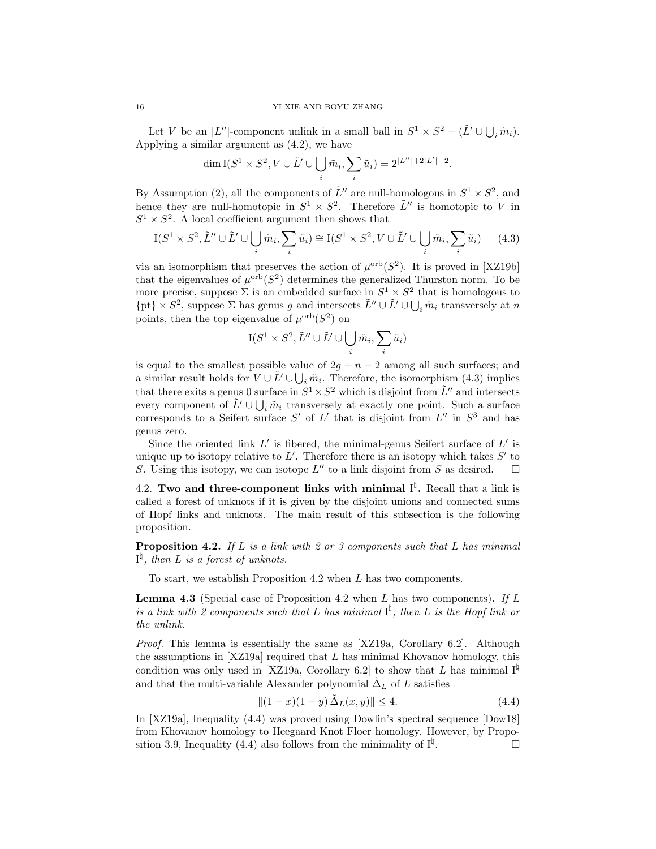Let V be an  $|L''|$ -component unlink in a small ball in  $S^1 \times S^2 - (\tilde{L}' \cup \bigcup_i \tilde{m}_i)$ . Applying a similar argument as [\(4.2\)](#page-14-1), we have

$$
\dim \mathcal{I}(S^1 \times S^2, V \cup \tilde{L}' \cup \bigcup_i \tilde{m}_i, \sum_i \tilde{u}_i) = 2^{|L''|+2|L'|-2}.
$$

By Assumption (2), all the components of  $\tilde{L}''$  are null-homologous in  $S^1 \times S^2$ , and hence they are null-homotopic in  $S^1 \times S^2$ . Therefore  $\tilde{L}''$  is homotopic to V in  $S^1 \times S^2$ . A local coefficient argument then shows that

<span id="page-15-0"></span>
$$
I(S^1 \times S^2, \tilde{L}'' \cup \tilde{L}' \cup \bigcup_i \tilde{m}_i, \sum_i \tilde{u}_i) \cong I(S^1 \times S^2, V \cup \tilde{L}' \cup \bigcup_i \tilde{m}_i, \sum_i \tilde{u}_i) \qquad (4.3)
$$

via an isomorphism that preserves the action of  $\mu^{\text{orb}}(S^2)$ . It is proved in [\[XZ19b\]](#page-38-4) that the eigenvalues of  $\mu^{\text{orb}}(S^2)$  determines the generalized Thurston norm. To be more precise, suppose  $\Sigma$  is an embedded surface in  $S^1 \times S^2$  that is homologous to  $\{pt\} \times S^2$ , suppose  $\Sigma$  has genus g and intersects  $\tilde{L}'' \cup \tilde{L}' \cup \bigcup_i \tilde{m}_i$  transversely at n points, then the top eigenvalue of  $\mu^{\text{orb}}(S^2)$  on

$$
\mathbf{I}(S^1\times S^2,\tilde{L}''\cup \tilde{L}'\cup \bigcup_i \tilde{m}_i,\sum_i \tilde{u}_i)
$$

is equal to the smallest possible value of  $2g + n - 2$  among all such surfaces; and a similar result holds for  $V \cup \tilde{L}' \cup \bigcup_i \tilde{m}_i$ . Therefore, the isomorphism [\(4.3\)](#page-15-0) implies that there exits a genus 0 surface in  $S^1 \times S^2$  which is disjoint from  $\tilde{L}''$  and intersects every component of  $\tilde{L}' \cup \bigcup_i \tilde{m}_i$  transversely at exactly one point. Such a surface corresponds to a Seifert surface  $S'$  of  $L'$  that is disjoint from  $L''$  in  $S^3$  and has genus zero.

Since the oriented link  $L'$  is fibered, the minimal-genus Seifert surface of  $L'$  is unique up to isotopy relative to  $L'$ . Therefore there is an isotopy which takes  $S'$  to S. Using this isotopy, we can isotope  $L''$  to a link disjoint from S as desired.  $\square$ 

4.2. Two and three-component links with minimal  $I^{\natural}$ . Recall that a link is called a forest of unknots if it is given by the disjoint unions and connected sums of Hopf links and unknots. The main result of this subsection is the following proposition.

<span id="page-15-1"></span>**Proposition 4.2.** If L is a link with 2 or 3 components such that L has minimal  $I^{\natural}$ , then L is a forest of unknots.

To start, we establish Proposition [4.2](#page-15-1) when L has two components.

<span id="page-15-3"></span>**Lemma 4.3** (Special case of Proposition [4.2](#page-15-1) when L has two components). If L is a link with 2 components such that L has minimal  $I^{\natural}$ , then L is the Hopf link or the unlink.

Proof. This lemma is essentially the same as [\[XZ19a,](#page-38-5) Corollary 6.2]. Although the assumptions in  $[XZ19a]$  required that  $L$  has minimal Khovanov homology, this condition was only used in [\[XZ19a,](#page-38-5) Corollary 6.2] to show that L has minimal  $I^{\sharp}$ and that the multi-variable Alexander polynomial  $\tilde{\Delta}_L$  of L satisfies

<span id="page-15-2"></span>
$$
||(1-x)(1-y)\tilde{\Delta}_L(x,y)|| \le 4.
$$
\n(4.4)

In [\[XZ19a\]](#page-38-5), Inequality [\(4.4\)](#page-15-2) was proved using Dowlin's spectral sequence [\[Dow18\]](#page-37-22) from Khovanov homology to Heegaard Knot Floer homology. However, by Propo-sition [3.9,](#page-12-5) Inequality [\(4.4\)](#page-15-2) also follows from the minimality of  $I^{\sharp}$ . . — Первый профессиональный профессиональный профессиональный профессиональный профессиональный профессио<br>В профессиональный профессиональный профессиональный профессиональный профессиональный профессиональный профес<br>Проф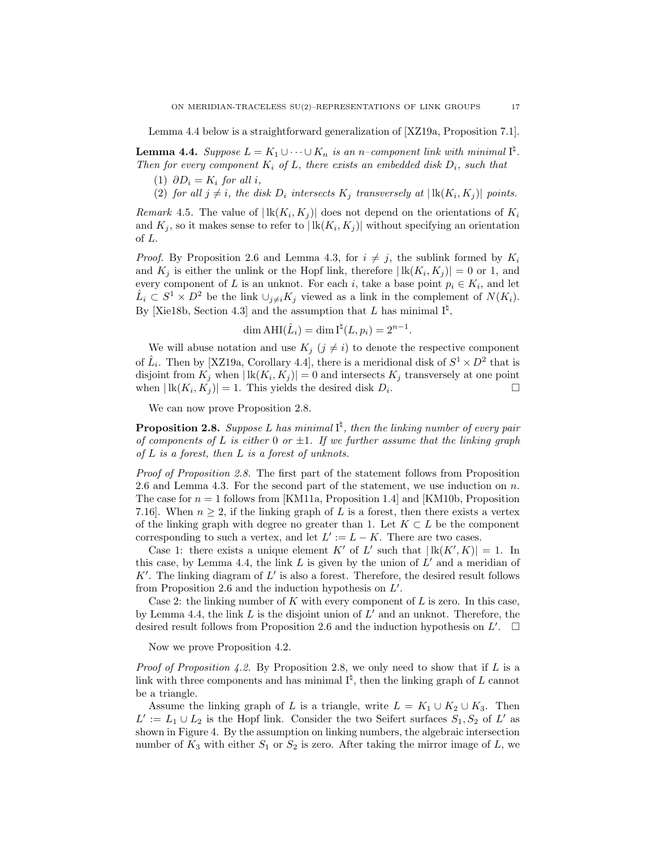Lemma [4.4](#page-16-0) below is a straightforward generalization of [\[XZ19a,](#page-38-5) Proposition 7.1].

<span id="page-16-0"></span>**Lemma 4.4.** Suppose  $L = K_1 \cup \cdots \cup K_n$  is an n-component link with minimal  $I^{\natural}$ . Then for every component  $K_i$  of L, there exists an embedded disk  $D_i$ , such that

- (1)  $\partial D_i = K_i$  for all i,
- (2) for all  $j \neq i$ , the disk  $D_i$  intersects  $K_j$  transversely at  $|\, \text{lk}(K_i, K_j)|$  points.

Remark 4.5. The value of  $|\mathbf{lk}(K_i,K_j)|$  does not depend on the orientations of  $K_i$ and  $K_j$ , so it makes sense to refer to  $| \text{lk}(K_i, K_j) |$  without specifying an orientation of L.

*Proof.* By Proposition [2.6](#page-4-4) and Lemma [4.3,](#page-15-3) for  $i \neq j$ , the sublink formed by  $K_i$ and  $K_j$  is either the unlink or the Hopf link, therefore  $|\text{lk}(K_i, K_j)| = 0$  or 1, and every component of L is an unknot. For each i, take a base point  $p_i \in K_i$ , and let  $\hat{L}_i \subset S^1 \times D^2$  be the link  $\cup_{j \neq i} K_j$  viewed as a link in the complement of  $N(K_i)$ . By [\[Xie18b,](#page-38-3) Section 4.3] and the assumption that L has minimal  $I^{\sharp}$ ,

$$
\dim \text{AHI}(\hat{L}_i) = \dim \text{I}^{\natural}(L, p_i) = 2^{n-1}.
$$

We will abuse notation and use  $K_j$   $(j \neq i)$  to denote the respective component of  $\hat{L}_i$ . Then by [\[XZ19a,](#page-38-5) Corollary 4.4], there is a meridional disk of  $S^1 \times D^2$  that is disjoint from  $K_j$  when  $| \text{lk}(K_i, K_j) | = 0$  and intersects  $K_j$  transversely at one point when  $| \text{lk}(K_i, K_j) | = 1$ . This yields the desired disk  $D_i$ .

We can now prove Proposition [2.8.](#page-4-1)

**Proposition [2.8.](#page-4-1)** Suppose L has minimal  $I^{\sharp}$ , then the linking number of every pair of components of L is either 0 or  $\pm 1$ . If we further assume that the linking graph of  $L$  is a forest, then  $L$  is a forest of unknots.

Proof of Proposition [2.8.](#page-4-1) The first part of the statement follows from Proposition [2.6](#page-4-4) and Lemma [4.3.](#page-15-3) For the second part of the statement, we use induction on  $n$ . The case for  $n = 1$  follows from [\[KM11a,](#page-37-14) Proposition 1.4] and [\[KM10b,](#page-37-10) Proposition 7.16]. When  $n \geq 2$ , if the linking graph of L is a forest, then there exists a vertex of the linking graph with degree no greater than 1. Let  $K \subset L$  be the component corresponding to such a vertex, and let  $L' := L - K$ . There are two cases.

Case 1: there exists a unique element K' of L' such that  $| \text{lk}(K', K) | = 1$ . In this case, by Lemma [4.4,](#page-16-0) the link  $L$  is given by the union of  $L'$  and a meridian of  $K'$ . The linking diagram of  $L'$  is also a forest. Therefore, the desired result follows from Proposition [2.6](#page-4-4) and the induction hypothesis on  $L'$ .

Case 2: the linking number of  $K$  with every component of  $L$  is zero. In this case, by Lemma [4.4,](#page-16-0) the link  $L$  is the disjoint union of  $L'$  and an unknot. Therefore, the desired result follows from Proposition [2.6](#page-4-4) and the induction hypothesis on  $L'$ .  $\Box$ 

Now we prove Proposition [4.2.](#page-15-1)

*Proof of Proposition [4.2.](#page-15-1)* By Proposition [2.8,](#page-4-1) we only need to show that if L is a link with three components and has minimal  $I^{\natural}$ , then the linking graph of L cannot be a triangle.

Assume the linking graph of L is a triangle, write  $L = K_1 \cup K_2 \cup K_3$ . Then  $L' := L_1 \cup L_2$  is the Hopf link. Consider the two Seifert surfaces  $S_1, S_2$  of  $L'$  as shown in Figure [4.](#page-17-0) By the assumption on linking numbers, the algebraic intersection number of  $K_3$  with either  $S_1$  or  $S_2$  is zero. After taking the mirror image of L, we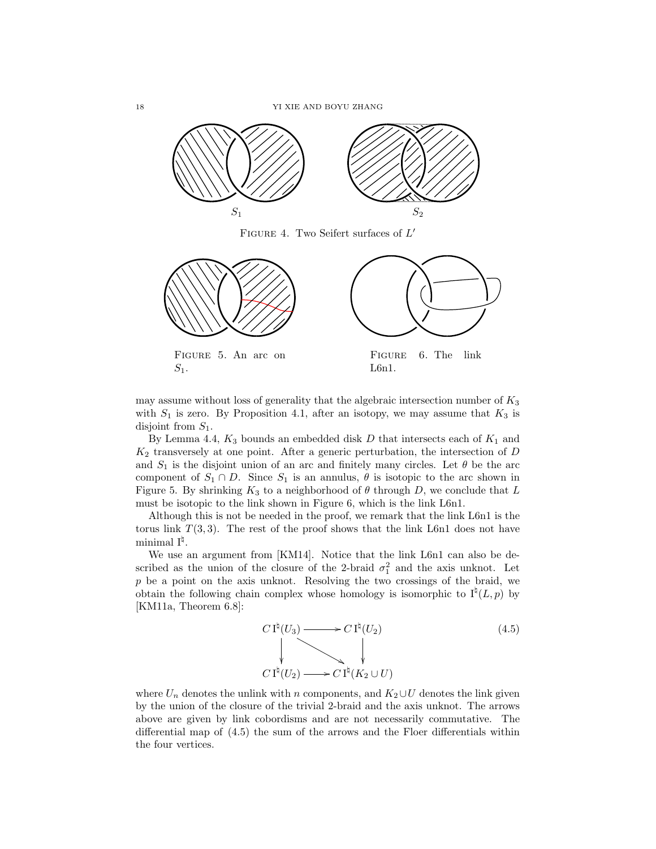<span id="page-17-0"></span>18 YI XIE AND BOYU ZHANG



FIGURE 4. Two Seifert surfaces of  $L'$ 

<span id="page-17-1"></span>

may assume without loss of generality that the algebraic intersection number of  $K_3$ with  $S_1$  is zero. By Proposition [4.1,](#page-13-1) after an isotopy, we may assume that  $K_3$  is disjoint from  $S_1$ .

By Lemma [4.4,](#page-16-0)  $K_3$  bounds an embedded disk D that intersects each of  $K_1$  and  $K_2$  transversely at one point. After a generic perturbation, the intersection of D and  $S_1$  is the disjoint union of an arc and finitely many circles. Let  $\theta$  be the arc component of  $S_1 \cap D$ . Since  $S_1$  is an annulus,  $\theta$  is isotopic to the arc shown in Figure [5.](#page-17-1) By shrinking  $K_3$  to a neighborhood of  $\theta$  through D, we conclude that L must be isotopic to the link shown in Figure [6,](#page-17-1) which is the link L6n1.

Although this is not be needed in the proof, we remark that the link L6n1 is the torus link  $T(3, 3)$ . The rest of the proof shows that the link L6n1 does not have  $\text{minimal I}^{\natural}.$ 

We use an argument from [\[KM14\]](#page-37-23). Notice that the link L6n1 can also be described as the union of the closure of the 2-braid  $\sigma_1^2$  and the axis unknot. Let p be a point on the axis unknot. Resolving the two crossings of the braid, we obtain the following chain complex whose homology is isomorphic to  $I^{\natural}(L, p)$  by [\[KM11a,](#page-37-14) Theorem 6.8]:

<span id="page-17-2"></span>

where  $U_n$  denotes the unlink with n components, and  $K_2 \cup U$  denotes the link given by the union of the closure of the trivial 2-braid and the axis unknot. The arrows above are given by link cobordisms and are not necessarily commutative. The differential map of [\(4.5\)](#page-17-2) the sum of the arrows and the Floer differentials within the four vertices.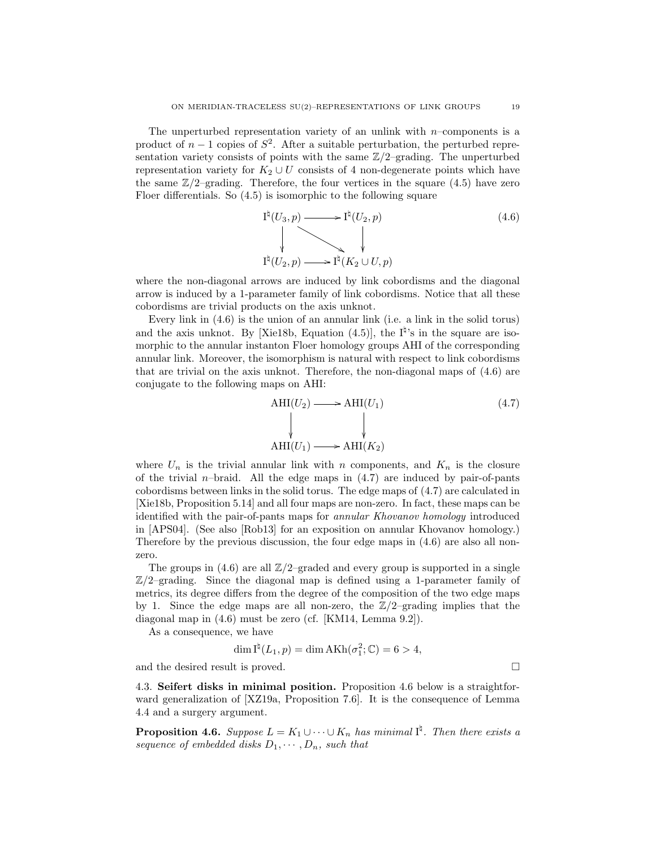The unperturbed representation variety of an unlink with  $n$ –components is a product of  $n-1$  copies of  $S^2$ . After a suitable perturbation, the perturbed representation variety consists of points with the same  $\mathbb{Z}/2$ –grading. The unperturbed representation variety for  $K_2 \cup U$  consists of 4 non-degenerate points which have the same  $\mathbb{Z}/2$ –grading. Therefore, the four vertices in the square [\(4.5\)](#page-17-2) have zero Floer differentials. So [\(4.5\)](#page-17-2) is isomorphic to the following square

<span id="page-18-0"></span>
$$
\begin{array}{ccc}\nI^{\natural}(U_3, p) & \longrightarrow & I^{\natural}(U_2, p) & (4.6) \\
& & \downarrow & \\
I^{\natural}(U_2, p) & \longrightarrow & I^{\natural}(K_2 \cup U, p)\n\end{array}
$$

where the non-diagonal arrows are induced by link cobordisms and the diagonal arrow is induced by a 1-parameter family of link cobordisms. Notice that all these cobordisms are trivial products on the axis unknot.

Every link in [\(4.6\)](#page-18-0) is the union of an annular link (i.e. a link in the solid torus) and the axis unknot. By [\[Xie18b,](#page-38-3) Equation  $(4.5)$ ], the  $I^{\sharp}$ 's in the square are isomorphic to the annular instanton Floer homology groups AHI of the corresponding annular link. Moreover, the isomorphism is natural with respect to link cobordisms that are trivial on the axis unknot. Therefore, the non-diagonal maps of [\(4.6\)](#page-18-0) are conjugate to the following maps on AHI:

<span id="page-18-1"></span>
$$
\text{AHI}(U_2) \longrightarrow \text{AHI}(U_1) \tag{4.7}
$$
\n
$$
\downarrow \qquad \qquad \downarrow
$$
\n
$$
\text{AHI}(U_1) \longrightarrow \text{AHI}(K_2)
$$

where  $U_n$  is the trivial annular link with n components, and  $K_n$  is the closure of the trivial *n*–braid. All the edge maps in  $(4.7)$  are induced by pair-of-pants cobordisms between links in the solid torus. The edge maps of [\(4.7\)](#page-18-1) are calculated in [\[Xie18b,](#page-38-3) Proposition 5.14] and all four maps are non-zero. In fact, these maps can be identified with the pair-of-pants maps for annular Khovanov homology introduced in [\[APS04\]](#page-36-6). (See also [\[Rob13\]](#page-37-24) for an exposition on annular Khovanov homology.) Therefore by the previous discussion, the four edge maps in [\(4.6\)](#page-18-0) are also all nonzero.

The groups in  $(4.6)$  are all  $\mathbb{Z}/2$ –graded and every group is supported in a single  $\mathbb{Z}/2$ –grading. Since the diagonal map is defined using a 1-parameter family of metrics, its degree differs from the degree of the composition of the two edge maps by 1. Since the edge maps are all non-zero, the  $\mathbb{Z}/2$ –grading implies that the diagonal map in [\(4.6\)](#page-18-0) must be zero (cf. [\[KM14,](#page-37-23) Lemma 9.2]).

As a consequence, we have

$$
\dim I^{\natural}(L_1, p) = \dim AKh(\sigma_1^2; \mathbb{C}) = 6 > 4,
$$

and the desired result is proved.  $\hfill \square$ 

4.3. Seifert disks in minimal position. Proposition [4.6](#page-18-2) below is a straightforward generalization of [\[XZ19a,](#page-38-5) Proposition 7.6]. It is the consequence of Lemma [4.4](#page-16-0) and a surgery argument.

<span id="page-18-2"></span>**Proposition 4.6.** Suppose  $L = K_1 \cup \cdots \cup K_n$  has minimal  $I^{\natural}$ . Then there exists a sequence of embedded disks  $D_1, \cdots, D_n$ , such that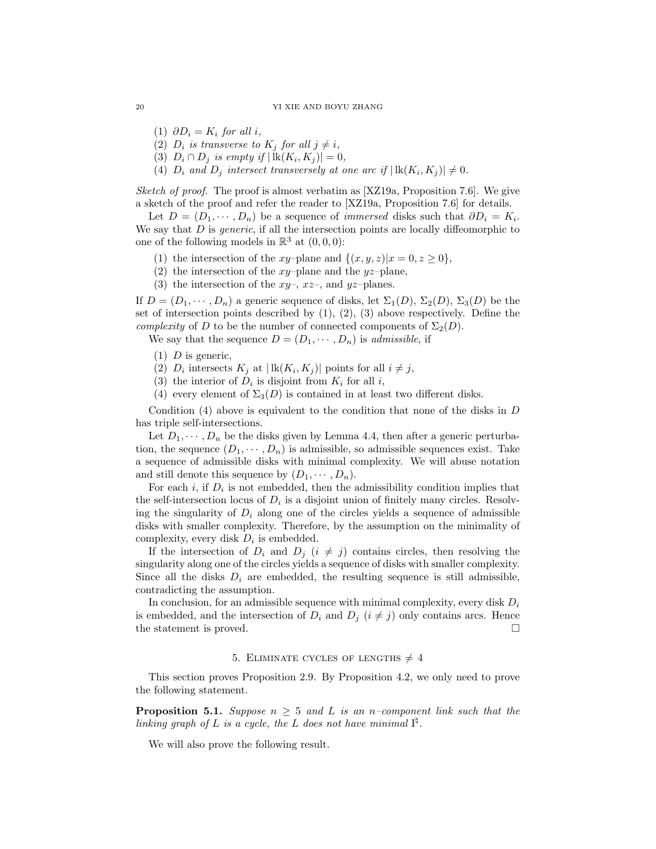(1)  $\partial D_i = K_i$  for all i,

- (2)  $D_i$  is transverse to  $K_j$  for all  $j \neq i$ ,
- (3)  $D_i \cap D_j$  is empty if  $|\operatorname{lk}(K_i, K_j)| = 0$ ,
- (4)  $D_i$  and  $D_j$  intersect transversely at one arc if  $|\, \text{lk}(K_i, K_j)| \neq 0$ .

*Sketch of proof.* The proof is almost verbatim as  $[XZ19a,$  Proposition 7.6. We give a sketch of the proof and refer the reader to [\[XZ19a,](#page-38-5) Proposition 7.6] for details.

Let  $D = (D_1, \dots, D_n)$  be a sequence of *immersed* disks such that  $\partial D_i = K_i$ . We say that  $D$  is *generic*, if all the intersection points are locally diffeomorphic to one of the following models in  $\mathbb{R}^3$  at  $(0,0,0)$ :

- (1) the intersection of the xy–plane and  $\{(x, y, z)|x = 0, z \ge 0\},\$
- (2) the intersection of the  $xy$ -plane and the  $yz$ -plane,
- (3) the intersection of the  $xy-$ ,  $xz-$ , and  $yz$ -planes.

If  $D = (D_1, \dots, D_n)$  a generic sequence of disks, let  $\Sigma_1(D)$ ,  $\Sigma_2(D)$ ,  $\Sigma_3(D)$  be the set of intersection points described by  $(1)$ ,  $(2)$ ,  $(3)$  above respectively. Define the *complexity* of D to be the number of connected components of  $\Sigma_2(D)$ .

We say that the sequence  $D = (D_1, \dots, D_n)$  is *admissible*, if

- $(1)$  D is generic,
- (2)  $D_i$  intersects  $K_j$  at  $|\, \text{lk}(K_i, K_j)|$  points for all  $i \neq j$ ,
- (3) the interior of  $D_i$  is disjoint from  $K_i$  for all i,
- (4) every element of  $\Sigma_3(D)$  is contained in at least two different disks.

Condition  $(4)$  above is equivalent to the condition that none of the disks in D has triple self-intersections.

Let  $D_1, \dots, D_n$  be the disks given by Lemma [4.4,](#page-16-0) then after a generic perturbation, the sequence  $(D_1, \dots, D_n)$  is admissible, so admissible sequences exist. Take a sequence of admissible disks with minimal complexity. We will abuse notation and still denote this sequence by  $(D_1, \dots, D_n)$ .

For each  $i$ , if  $D_i$  is not embedded, then the admissibility condition implies that the self-intersection locus of  $D_i$  is a disjoint union of finitely many circles. Resolving the singularity of  $D_i$  along one of the circles yields a sequence of admissible disks with smaller complexity. Therefore, by the assumption on the minimality of complexity, every disk  $D_i$  is embedded.

If the intersection of  $D_i$  and  $D_j$   $(i \neq j)$  contains circles, then resolving the singularity along one of the circles yields a sequence of disks with smaller complexity. Since all the disks  $D_i$  are embedded, the resulting sequence is still admissible, contradicting the assumption.

In conclusion, for an admissible sequence with minimal complexity, every disk  $D_i$ is embedded, and the intersection of  $D_i$  and  $D_j$   $(i \neq j)$  only contains arcs. Hence the statement is proved.

#### 5. ELIMINATE CYCLES OF LENGTHS  $\neq 4$

<span id="page-19-0"></span>This section proves Proposition [2.9.](#page-4-2) By Proposition [4.2,](#page-15-1) we only need to prove the following statement.

<span id="page-19-1"></span>**Proposition 5.1.** Suppose  $n \geq 5$  and L is an n–component link such that the linking graph of L is a cycle, the L does not have minimal  $I^{\natural}$ .

We will also prove the following result.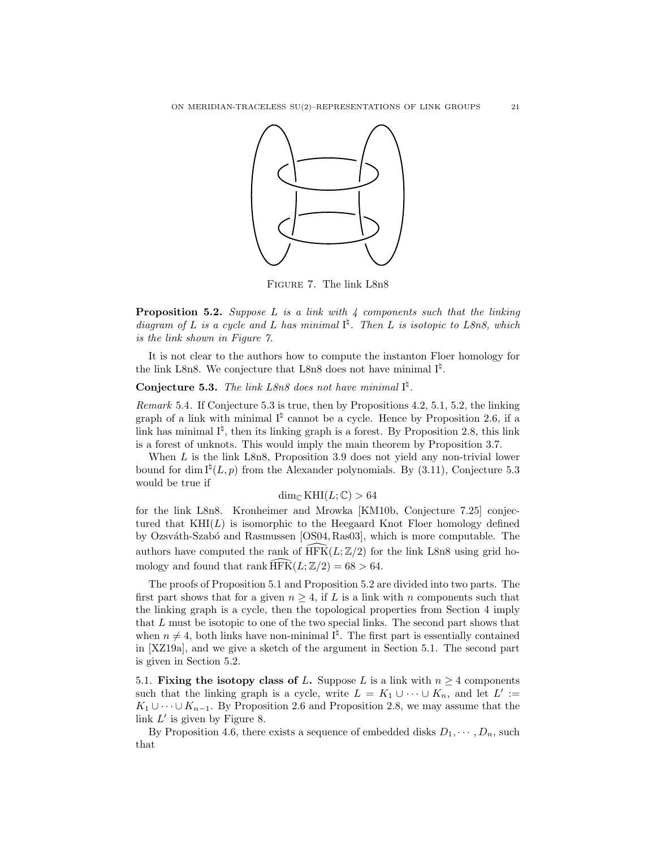<span id="page-20-3"></span>

Figure 7. The link L8n8

<span id="page-20-1"></span>**Proposition 5.2.** Suppose  $L$  is a link with  $\frac{1}{4}$  components such that the linking diagram of L is a cycle and L has minimal  $I^{\sharp}$ . Then L is isotopic to L8n8, which is the link shown in Figure [7.](#page-20-3)

It is not clear to the authors how to compute the instanton Floer homology for the link L8n8. We conjecture that L8n8 does not have minimal  $I^{\natural}$ .

# <span id="page-20-2"></span>**Conjecture 5.3.** The link L8n8 does not have minimal  $I^{\sharp}$ .

<span id="page-20-0"></span>Remark 5.4. If Conjecture [5.3](#page-20-2) is true, then by Propositions [4.2,](#page-15-1) [5.1,](#page-19-1) [5.2,](#page-20-1) the linking graph of a link with minimal  $I^{\natural}$  cannot be a cycle. Hence by Proposition [2.6,](#page-4-4) if a link has minimal  $I^{\natural}$ , then its linking graph is a forest. By Proposition [2.8,](#page-4-1) this link is a forest of unknots. This would imply the main theorem by Proposition [3.7.](#page-12-0)

When L is the link L8n8, Proposition [3.9](#page-12-5) does not yield any non-trivial lower bound for dim  $I^{\natural}(L, p)$  from the Alexander polynomials. By [\(3.11\)](#page-13-2), Conjecture [5.3](#page-20-2) would be true if

# $\dim_{\mathbb{C}} \text{KHI}(L;\mathbb{C}) > 64$

for the link L8n8. Kronheimer and Mrowka [\[KM10b,](#page-37-10) Conjecture 7.25] conjectured that  $KHI(L)$  is isomorphic to the Heegaard Knot Floer homology defined by Ozsváth-Szabó and Rasmussen [\[OS04,](#page-37-25) [Ras03\]](#page-37-26), which is more computable. The authors have computed the rank of  $\widehat{HFK}(L;\mathbb{Z}/2)$  for the link L8n8 using grid homology and found that rank  $\widehat{\text{HFK}}(L;\mathbb{Z}/2) = 68 > 64.$ 

The proofs of Proposition [5.1](#page-19-1) and Proposition [5.2](#page-20-1) are divided into two parts. The first part shows that for a given  $n \geq 4$ , if L is a link with n components such that the linking graph is a cycle, then the topological properties from Section [4](#page-13-0) imply that L must be isotopic to one of the two special links. The second part shows that when  $n \neq 4$ , both links have non-minimal  $I^{\natural}$ . The first part is essentially contained in [\[XZ19a\]](#page-38-5), and we give a sketch of the argument in Section [5.1.](#page-20-4) The second part is given in Section [5.2.](#page-23-1)

<span id="page-20-4"></span>5.1. Fixing the isotopy class of L. Suppose L is a link with  $n \geq 4$  components such that the linking graph is a cycle, write  $L = K_1 \cup \cdots \cup K_n$ , and let  $L' :=$  $K_1 \cup \cdots \cup K_{n-1}$ . By Proposition [2.6](#page-4-4) and Proposition [2.8,](#page-4-1) we may assume that the link  $L'$  is given by Figure [8.](#page-21-0)

By Proposition [4.6,](#page-18-2) there exists a sequence of embedded disks  $D_1, \dots, D_n$ , such that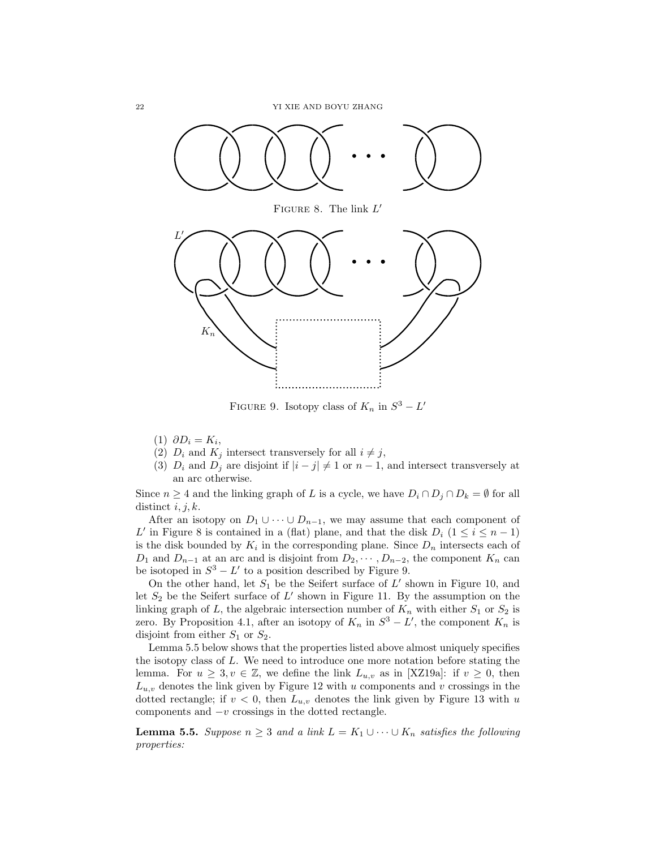<span id="page-21-0"></span>

FIGURE 9. Isotopy class of  $K_n$  in  $S^3 - L'$ 

- (1)  $\partial D_i = K_i,$
- (2)  $D_i$  and  $K_j$  intersect transversely for all  $i \neq j$ ,
- (3)  $D_i$  and  $D_j$  are disjoint if  $|i j| \neq 1$  or  $n 1$ , and intersect transversely at an arc otherwise.

Since  $n \geq 4$  and the linking graph of L is a cycle, we have  $D_i \cap D_j \cap D_k = \emptyset$  for all distinct  $i, j, k$ .

After an isotopy on  $D_1 \cup \cdots \cup D_{n-1}$ , we may assume that each component of L' in Figure [8](#page-21-0) is contained in a (flat) plane, and that the disk  $D_i$  ( $1 \leq i \leq n-1$ ) is the disk bounded by  $K_i$  in the corresponding plane. Since  $D_n$  intersects each of  $D_1$  and  $D_{n-1}$  at an arc and is disjoint from  $D_2, \cdots, D_{n-2}$ , the component  $K_n$  can be isotoped in  $S^3 - L'$  to a position described by Figure [9.](#page-21-0)

On the other hand, let  $S_1$  be the Seifert surface of  $L'$  shown in Figure [10,](#page-22-0) and let  $S_2$  be the Seifert surface of  $L'$  shown in Figure [11.](#page-22-0) By the assumption on the linking graph of L, the algebraic intersection number of  $K_n$  with either  $S_1$  or  $S_2$  is zero. By Proposition [4.1,](#page-13-1) after an isotopy of  $K_n$  in  $S^3 - L'$ , the component  $K_n$  is disjoint from either  $S_1$  or  $S_2$ .

Lemma [5.5](#page-21-1) below shows that the properties listed above almost uniquely specifies the isotopy class of  $L$ . We need to introduce one more notation before stating the lemma. For  $u \geq 3, v \in \mathbb{Z}$ , we define the link  $L_{u,v}$  as in [\[XZ19a\]](#page-38-5): if  $v \geq 0$ , then  $L_{u,v}$  denotes the link given by Figure [12](#page-22-1) with u components and v crossings in the dotted rectangle; if  $v < 0$ , then  $L_{u,v}$  denotes the link given by Figure [13](#page-22-1) with u components and  $-v$  crossings in the dotted rectangle.

<span id="page-21-1"></span>**Lemma 5.5.** Suppose  $n \geq 3$  and a link  $L = K_1 \cup \cdots \cup K_n$  satisfies the following properties: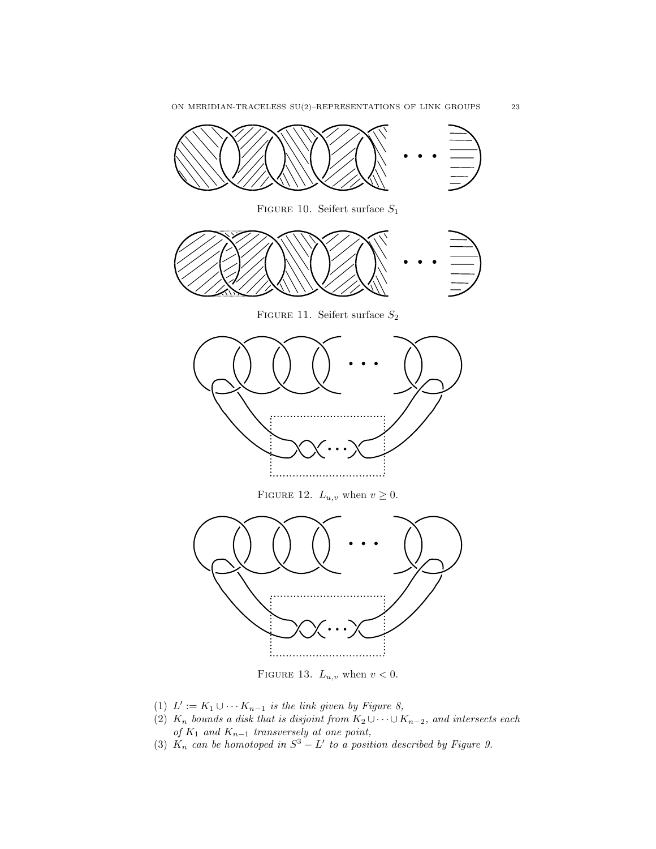<span id="page-22-1"></span><span id="page-22-0"></span>

FIGURE 13.  $L_{u,v}$  when  $v < 0$ .

- (1)  $L' := K_1 \cup \cdots K_{n-1}$  is the link given by Figure [8,](#page-21-0)
- (2)  $K_n$  bounds a disk that is disjoint from  $K_2 \cup \cdots \cup K_{n-2}$ , and intersects each of  $K_1$  and  $K_{n-1}$  transversely at one point,
- (3)  $K_n$  can be homotoped in  $S^3 L'$  to a position described by Figure [9.](#page-21-0)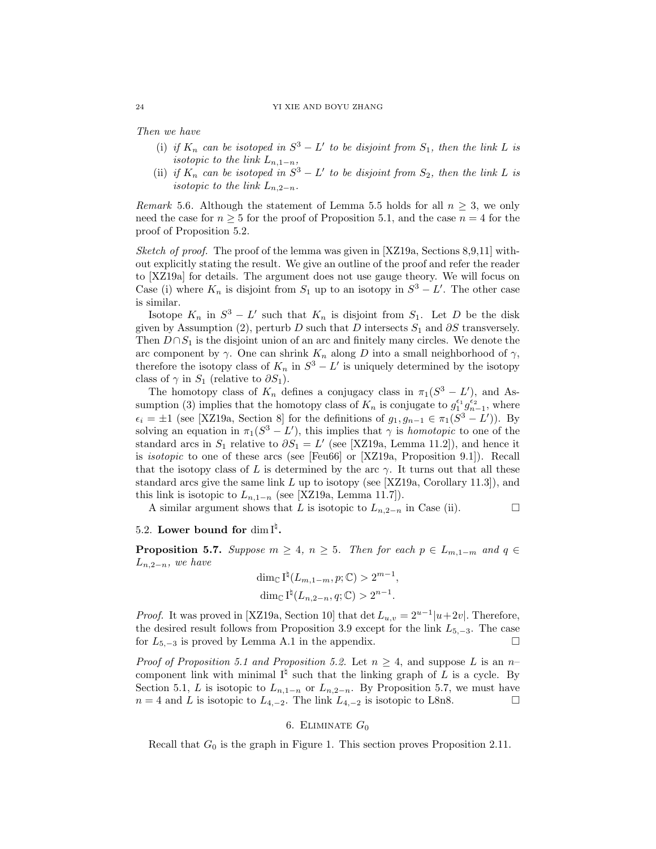#### 24 YI XIE AND BOYU ZHANG

Then we have

- (i) if  $K_n$  can be isotoped in  $S^3 L'$  to be disjoint from  $S_1$ , then the link L is isotopic to the link  $L_{n,1-n}$ ,
- (ii) if  $K_n$  can be isotoped in  $S^3 L'$  to be disjoint from  $S_2$ , then the link L is isotopic to the link  $L_{n,2-n}$ .

Remark 5.6. Although the statement of Lemma [5.5](#page-21-1) holds for all  $n \geq 3$ , we only need the case for  $n \geq 5$  for the proof of Proposition [5.1,](#page-19-1) and the case  $n = 4$  for the proof of Proposition [5.2.](#page-20-1)

Sketch of proof. The proof of the lemma was given in  $[XZ19a,$  Sections 8,9,11 without explicitly stating the result. We give an outline of the proof and refer the reader to [\[XZ19a\]](#page-38-5) for details. The argument does not use gauge theory. We will focus on Case (i) where  $K_n$  is disjoint from  $S_1$  up to an isotopy in  $S^3 - L'$ . The other case is similar.

Isotope  $K_n$  in  $S^3 - L'$  such that  $K_n$  is disjoint from  $S_1$ . Let D be the disk given by Assumption (2), perturb D such that D intersects  $S_1$  and  $\partial S$  transversely. Then  $D \cap S_1$  is the disjoint union of an arc and finitely many circles. We denote the arc component by  $\gamma$ . One can shrink  $K_n$  along D into a small neighborhood of  $\gamma$ , therefore the isotopy class of  $K_n$  in  $S^3 - L'$  is uniquely determined by the isotopy class of  $\gamma$  in  $S_1$  (relative to  $\partial S_1$ ).

The homotopy class of  $K_n$  defines a conjugacy class in  $\pi_1(S^3 - L')$ , and Assumption (3) implies that the homotopy class of  $K_n$  is conjugate to  $g_1^{\epsilon_1} g_{n-1}^{\epsilon_2}$ , where  $\epsilon_i = \pm 1$  (see [\[XZ19a,](#page-38-5) Section 8] for the definitions of  $g_1, g_{n-1} \in \pi_1(S^3 - L')$ ). By solving an equation in  $\pi_1(S^3 - L')$ , this implies that  $\gamma$  is *homotopic* to one of the standard arcs in  $S_1$  relative to  $\partial S_1 = L'$  (see [\[XZ19a,](#page-38-5) Lemma 11.2]), and hence it is isotopic to one of these arcs (see [\[Feu66\]](#page-37-27) or [\[XZ19a,](#page-38-5) Proposition 9.1]). Recall that the isotopy class of L is determined by the arc  $\gamma$ . It turns out that all these standard arcs give the same link  $L$  up to isotopy (see [\[XZ19a,](#page-38-5) Corollary 11.3]), and this link is isotopic to  $L_{n,1-n}$  (see [\[XZ19a,](#page-38-5) Lemma 11.7]).

A similar argument shows that L is isotopic to  $L_{n,2-n}$  in Case (ii).  $\Box$ 

# <span id="page-23-1"></span>5.2. Lower bound for dim  $I^{\natural}$ .

<span id="page-23-2"></span>**Proposition 5.7.** Suppose  $m \geq 4$ ,  $n \geq 5$ . Then for each  $p \in L_{m,1-m}$  and  $q \in L_{m,1-m}$  $L_{n,2-n}$ , we have

$$
\dim_{\mathbb{C}} I^{\natural}(L_{m,1-m}, p; \mathbb{C}) > 2^{m-1},
$$
  

$$
\dim_{\mathbb{C}} I^{\natural}(L_{n,2-n}, q; \mathbb{C}) > 2^{n-1}.
$$

*Proof.* It was proved in [\[XZ19a,](#page-38-5) Section 10] that det  $L_{u,v} = 2^{u-1}|u+2v|$ . Therefore, the desired result follows from Proposition [3.9](#page-12-5) except for the link  $L_{5,-3}$ . The case for  $L_{5,-3}$  is proved by Lemma [A.1](#page-34-0) in the appendix.  $□$ 

*Proof of Proposition [5.1](#page-19-1) and Proposition [5.2.](#page-20-1)* Let  $n \geq 4$ , and suppose L is an n– component link with minimal  $I^{\natural}$  such that the linking graph of L is a cycle. By Section [5.1,](#page-20-4) L is isotopic to  $L_{n,1-n}$  or  $L_{n,2-n}$ . By Proposition [5.7,](#page-23-2) we must have  $n = 4$  and L is isotopic to  $L_{4,-2}$ . The link  $L_{4,-2}$  is isotopic to L8n8.

## 6. ELIMINATE  $G_0$

<span id="page-23-0"></span>Recall that  $G_0$  is the graph in Figure [1.](#page-5-1) This section proves Proposition [2.11.](#page-4-5)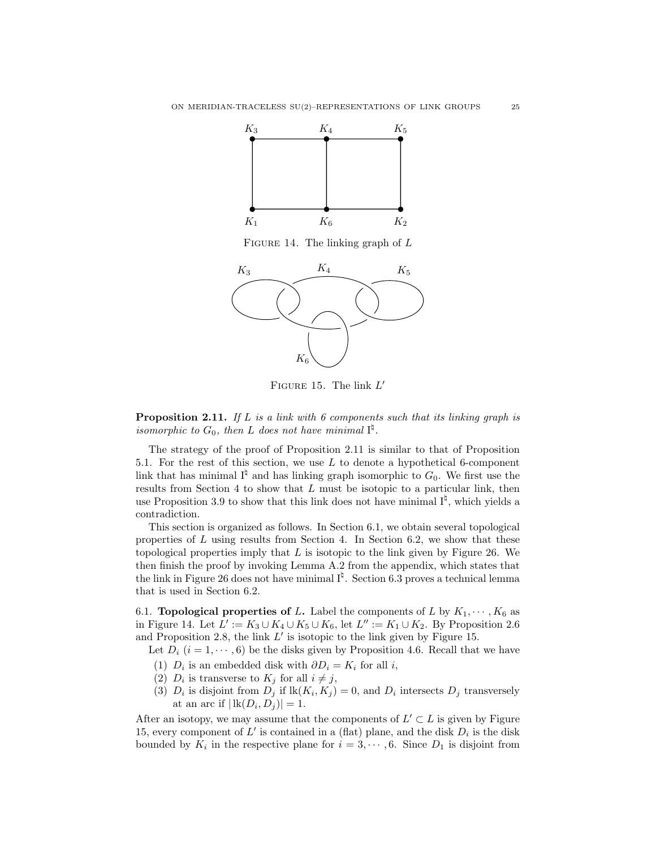<span id="page-24-1"></span>

FIGURE 14. The linking graph of  $L$ 

<span id="page-24-2"></span>

FIGURE 15. The link  $L'$ 

**Proposition [2.11.](#page-4-5)** If L is a link with 6 components such that its linking graph is isomorphic to  $G_0$ , then L does not have minimal  $I^{\natural}$ .

The strategy of the proof of Proposition [2.11](#page-4-5) is similar to that of Proposition [5.1.](#page-19-1) For the rest of this section, we use  $L$  to denote a hypothetical 6-component link that has minimal  $I^{\natural}$  and has linking graph isomorphic to  $G_0$ . We first use the results from Section [4](#page-13-0) to show that  $L$  must be isotopic to a particular link, then use Proposition [3.9](#page-12-5) to show that this link does not have minimal  $I^{\natural}$ , which yields a contradiction.

This section is organized as follows. In Section [6.1,](#page-24-0) we obtain several topological properties of  $L$  using results from Section [4.](#page-13-0) In Section [6.2,](#page-27-0) we show that these topological properties imply that  $L$  is isotopic to the link given by Figure [26.](#page-30-0) We then finish the proof by invoking Lemma [A.2](#page-35-0) from the appendix, which states that the link in Figure [26](#page-30-0) does not have minimal  $I^{\sharp}$ . Section [6.3](#page-30-1) proves a technical lemma that is used in Section [6.2.](#page-27-0)

<span id="page-24-0"></span>6.1. **Topological properties of L.** Label the components of L by  $K_1, \dots, K_6$  as in Figure [14.](#page-24-1) Let  $L' := K_3 \cup K_4 \cup K_5 \cup K_6$ , let  $L'' := K_1 \cup K_2$ . By Proposition [2.6](#page-4-4) and Proposition [2.8,](#page-4-1) the link  $L'$  is isotopic to the link given by Figure [15.](#page-24-2)

Let  $D_i$   $(i = 1, \dots, 6)$  be the disks given by Proposition [4.6.](#page-18-2) Recall that we have

- (1)  $D_i$  is an embedded disk with  $\partial D_i = K_i$  for all i,
- (2)  $D_i$  is transverse to  $K_j$  for all  $i \neq j$ ,
- (3)  $D_i$  is disjoint from  $D_j$  if  $lk(K_i, K_j) = 0$ , and  $D_i$  intersects  $D_j$  transversely at an arc if  $|\operatorname{lk}(D_i, D_j)| = 1$ .

After an isotopy, we may assume that the components of  $L' \subset L$  is given by Figure [15,](#page-24-2) every component of  $L'$  is contained in a (flat) plane, and the disk  $D_i$  is the disk bounded by  $K_i$  in the respective plane for  $i = 3, \dots, 6$ . Since  $D_1$  is disjoint from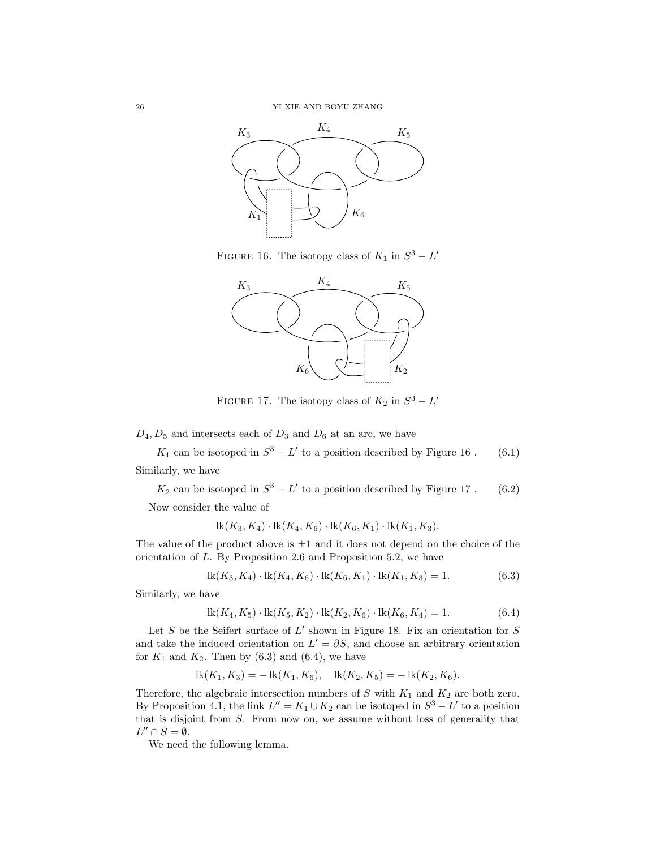<span id="page-25-0"></span>

FIGURE 16. The isotopy class of  $K_1$  in  $S^3 - L'$ 



FIGURE 17. The isotopy class of  $K_2$  in  $S^3 - L'$ 

 $D_4, D_5$  and intersects each of  $D_3$  and  $D_6$  at an arc, we have

<span id="page-25-3"></span> $K_1$  can be isotoped in  $S^3 - L'$  to a position described by Figure [16](#page-25-0). (6.1) Similarly, we have

<span id="page-25-4"></span> $K_2$  can be isotoped in  $S^3 - L'$  to a position described by Figure [17](#page-25-0). (6.2) Now consider the value of

$$
lk(K_3, K_4) \cdot lk(K_4, K_6) \cdot lk(K_6, K_1) \cdot lk(K_1, K_3).
$$

The value of the product above is  $\pm 1$  and it does not depend on the choice of the orientation of L. By Proposition [2.6](#page-4-4) and Proposition [5.2,](#page-20-1) we have

<span id="page-25-1"></span>
$$
lk(K_3, K_4) \cdot lk(K_4, K_6) \cdot lk(K_6, K_1) \cdot lk(K_1, K_3) = 1.
$$
 (6.3)

Similarly, we have

<span id="page-25-2"></span>
$$
lk(K_4, K_5) \cdot lk(K_5, K_2) \cdot lk(K_2, K_6) \cdot lk(K_6, K_4) = 1.
$$
 (6.4)

Let  $S$  be the Seifert surface of  $L'$  shown in Figure [18.](#page-26-0) Fix an orientation for  $S$ and take the induced orientation on  $L' = \partial S$ , and choose an arbitrary orientation for  $K_1$  and  $K_2$ . Then by  $(6.3)$  and  $(6.4)$ , we have

$$
lk(K_1, K_3) = - lk(K_1, K_6), \quad lk(K_2, K_5) = - lk(K_2, K_6).
$$

Therefore, the algebraic intersection numbers of  $S$  with  $K_{1}$  and  $K_{2}$  are both zero. By Proposition [4.1,](#page-13-1) the link  $L'' = K_1 \cup K_2$  can be isotoped in  $S^3 - L'$  to a position that is disjoint from S. From now on, we assume without loss of generality that  $L'' \cap S = \emptyset.$ 

We need the following lemma.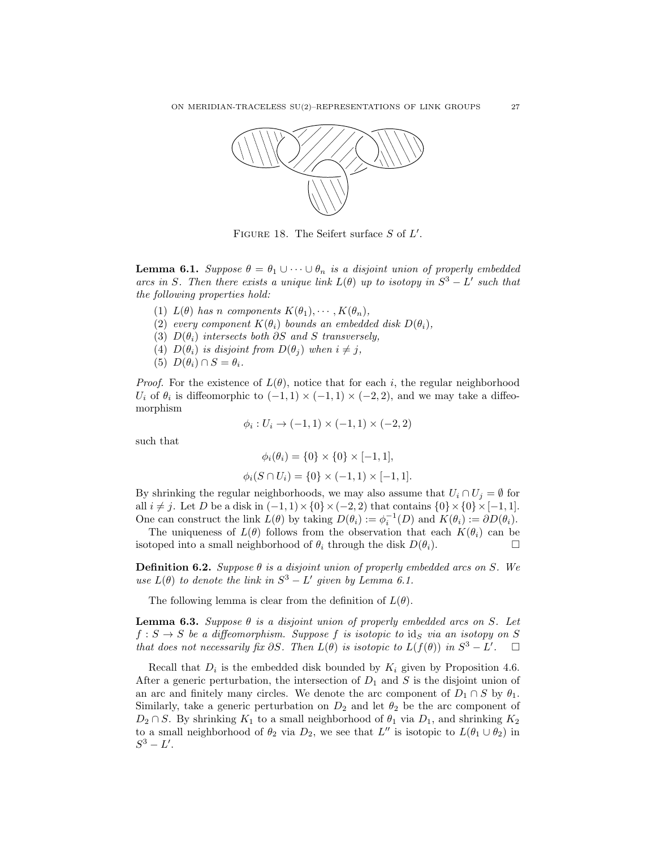<span id="page-26-0"></span>

FIGURE 18. The Seifert surface  $S$  of  $L'$ .

<span id="page-26-1"></span>**Lemma 6.1.** Suppose  $\theta = \theta_1 \cup \cdots \cup \theta_n$  is a disjoint union of properly embedded arcs in S. Then there exists a unique link  $L(\theta)$  up to isotopy in  $S^3 - L'$  such that the following properties hold:

- (1)  $L(\theta)$  has n components  $K(\theta_1), \cdots, K(\theta_n)$ ,
- (2) every component  $K(\theta_i)$  bounds an embedded disk  $D(\theta_i)$ ,
- (3)  $D(\theta_i)$  intersects both ∂S and S transversely,
- (4)  $D(\theta_i)$  is disjoint from  $D(\theta_i)$  when  $i \neq j$ ,
- (5)  $D(\theta_i) \cap S = \theta_i$ .

*Proof.* For the existence of  $L(\theta)$ , notice that for each i, the regular neighborhood  $U_i$  of  $\theta_i$  is diffeomorphic to  $(-1,1) \times (-1,1) \times (-2,2)$ , and we may take a diffeomorphism

$$
\phi_i : U_i \to (-1, 1) \times (-1, 1) \times (-2, 2)
$$

such that

$$
\phi_i(\theta_i) = \{0\} \times \{0\} \times [-1, 1],
$$
  

$$
\phi_i(S \cap U_i) = \{0\} \times (-1, 1) \times [-1, 1].
$$

By shrinking the regular neighborhoods, we may also assume that  $U_i \cap U_j = \emptyset$  for all  $i \neq j$ . Let D be a disk in  $(-1, 1) \times \{0\} \times (-2, 2)$  that contains  $\{0\} \times \{0\} \times [-1, 1]$ . One can construct the link  $L(\theta)$  by taking  $D(\theta_i) := \phi_i^{-1}(D)$  and  $K(\theta_i) := \partial D(\theta_i)$ .

The uniqueness of  $L(\theta)$  follows from the observation that each  $K(\theta_i)$  can be isotoped into a small neighborhood of  $\theta_i$  through the disk  $D(\theta_i)$ .

**Definition 6.2.** Suppose  $\theta$  is a disjoint union of properly embedded arcs on S. We use  $L(\theta)$  to denote the link in  $S^3 - L'$  given by Lemma [6.1.](#page-26-1)

The following lemma is clear from the definition of  $L(\theta)$ .

<span id="page-26-2"></span>**Lemma 6.3.** Suppose  $\theta$  is a disjoint union of properly embedded arcs on S. Let  $f : S \to S$  be a diffeomorphism. Suppose f is isotopic to id<sub>S</sub> via an isotopy on S that does not necessarily fix  $\partial S$ . Then  $L(\theta)$  is isotopic to  $L(f(\theta))$  in  $S^3 - L'$ .  $\square$ 

Recall that  $D_i$  is the embedded disk bounded by  $K_i$  given by Proposition [4.6.](#page-18-2) After a generic perturbation, the intersection of  $D_1$  and S is the disjoint union of an arc and finitely many circles. We denote the arc component of  $D_1 \cap S$  by  $\theta_1$ . Similarly, take a generic perturbation on  $D_2$  and let  $\theta_2$  be the arc component of  $D_2 \cap S$ . By shrinking  $K_1$  to a small neighborhood of  $\theta_1$  via  $D_1$ , and shrinking  $K_2$ to a small neighborhood of  $\theta_2$  via  $D_2$ , we see that L'' is isotopic to  $L(\theta_1 \cup \theta_2)$  in  $S^3 - L'.$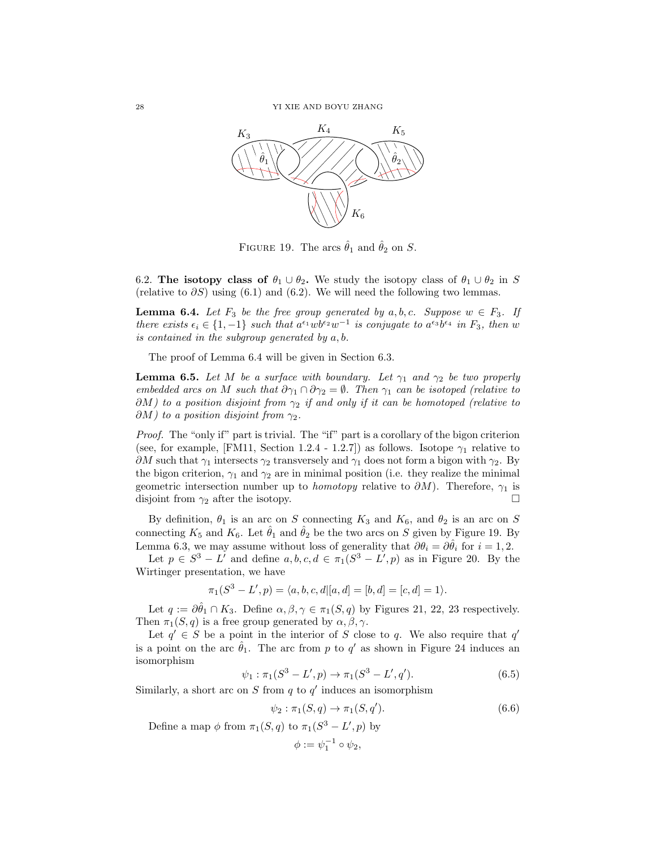<span id="page-27-2"></span>

FIGURE 19. The arcs  $\hat{\theta}_1$  and  $\hat{\theta}_2$  on S.

<span id="page-27-0"></span>6.2. The isotopy class of  $\theta_1 \cup \theta_2$ . We study the isotopy class of  $\theta_1 \cup \theta_2$  in S (relative to  $\partial S$ ) using [\(6.1\)](#page-25-3) and [\(6.2\)](#page-25-4). We will need the following two lemmas.

<span id="page-27-1"></span>**Lemma 6.4.** Let  $F_3$  be the free group generated by a, b, c. Suppose  $w \in F_3$ . If there exists  $\epsilon_i \in \{1, -1\}$  such that  $a^{\epsilon_1}wb^{\epsilon_2}w^{-1}$  is conjugate to  $a^{\epsilon_3}b^{\epsilon_4}$  in  $F_3$ , then w is contained in the subgroup generated by a, b.

The proof of Lemma [6.4](#page-27-1) will be given in Section [6.3.](#page-30-1)

<span id="page-27-3"></span>**Lemma 6.5.** Let M be a surface with boundary. Let  $\gamma_1$  and  $\gamma_2$  be two properly embedded arcs on M such that  $\partial \gamma_1 \cap \partial \gamma_2 = \emptyset$ . Then  $\gamma_1$  can be isotoped (relative to  $\partial M$ ) to a position disjoint from  $\gamma_2$  if and only if it can be homotoped (relative to  $\partial M$ ) to a position disjoint from  $\gamma_2$ .

Proof. The "only if" part is trivial. The "if" part is a corollary of the bigon criterion (see, for example, [\[FM11,](#page-37-28) Section 1.2.4 - 1.2.7]) as follows. Isotope  $\gamma_1$  relative to  $\partial M$  such that  $\gamma_1$  intersects  $\gamma_2$  transversely and  $\gamma_1$  does not form a bigon with  $\gamma_2$ . By the bigon criterion,  $\gamma_1$  and  $\gamma_2$  are in minimal position (i.e. they realize the minimal geometric intersection number up to *homotopy* relative to  $\partial M$ ). Therefore,  $\gamma_1$  is disjoint from  $\gamma_2$  after the isotopy.

By definition,  $\theta_1$  is an arc on S connecting  $K_3$  and  $K_6$ , and  $\theta_2$  is an arc on S connecting  $K_5$  and  $K_6$ . Let  $\hat{\theta}_1$  and  $\hat{\theta}_2$  be the two arcs on S given by Figure [19.](#page-27-2) By Lemma [6.3,](#page-26-2) we may assume without loss of generality that  $\partial \theta_i = \partial \theta_i$  for  $i = 1, 2$ .

Let  $p \in S^3 - L'$  and define  $a, b, c, d \in \pi_1(S^3 - L', p)$  as in Figure [20.](#page-28-0) By the Wirtinger presentation, we have

$$
\pi_1(S^3 - L', p) = \langle a, b, c, d | [a, d] = [b, d] = [c, d] = 1 \rangle.
$$

Let  $q := \partial \hat{\theta}_1 \cap K_3$ . Define  $\alpha, \beta, \gamma \in \pi_1(S, q)$  by Figures [21,](#page-29-0) [22,](#page-29-0) [23](#page-29-0) respectively. Then  $\pi_1(S, q)$  is a free group generated by  $\alpha, \beta, \gamma$ .

Let  $q' \in S$  be a point in the interior of S close to q. We also require that q' is a point on the arc  $\hat{\theta}_1$ . The arc from p to q' as shown in Figure [24](#page-29-1) induces an isomorphism

$$
\psi_1 : \pi_1(S^3 - L', p) \to \pi_1(S^3 - L', q'). \tag{6.5}
$$

Similarly, a short arc on  $S$  from  $q$  to  $q'$  induces an isomorphism

$$
\psi_2 : \pi_1(S, q) \to \pi_1(S, q'). \tag{6.6}
$$

Define a map  $\phi$  from  $\pi_1(S, q)$  to  $\pi_1(S^3 - L', p)$  by

$$
\phi:=\psi_1^{-1}\circ\psi_2,
$$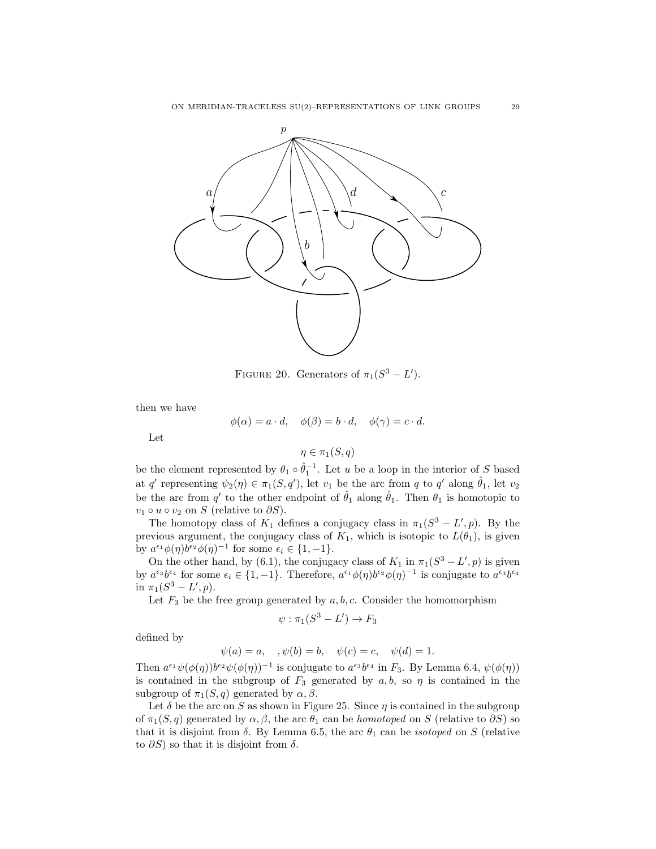<span id="page-28-0"></span>

FIGURE 20. Generators of  $\pi_1(S^3 - L')$ .

then we have

$$
\phi(\alpha) = a \cdot d, \quad \phi(\beta) = b \cdot d, \quad \phi(\gamma) = c \cdot d.
$$

Let

$$
\eta\in\pi_1(S,q)
$$

be the element represented by  $\theta_1 \circ \hat{\theta}_1^{-1}$ . Let u be a loop in the interior of S based at q' representing  $\psi_2(\eta) \in \pi_1(S, q')$ , let  $v_1$  be the arc from q to q' along  $\hat{\theta}_1$ , let  $v_2$ be the arc from q' to the other endpoint of  $\hat{\theta}_1$  along  $\hat{\theta}_1$ . Then  $\theta_1$  is homotopic to  $v_1 \circ u \circ v_2$  on S (relative to  $\partial S$ ).

The homotopy class of  $K_1$  defines a conjugacy class in  $\pi_1(S^3 - L', p)$ . By the previous argument, the conjugacy class of  $K_1$ , which is isotopic to  $L(\theta_1)$ , is given by  $a^{\epsilon_1} \phi(\eta) b^{\epsilon_2} \phi(\eta)^{-1}$  for some  $\epsilon_i \in \{1, -1\}.$ 

On the other hand, by [\(6.1\)](#page-25-3), the conjugacy class of  $K_1$  in  $\pi_1(S^3 - L', p)$  is given by  $a^{\epsilon_3}b^{\epsilon_4}$  for some  $\epsilon_i \in \{1, -1\}$ . Therefore,  $a^{\epsilon_1}\phi(\eta)b^{\epsilon_2}\phi(\eta)^{-1}$  is conjugate to  $a^{\epsilon_3}b^{\epsilon_4}$ in  $\pi_1(S^3 - L', p)$ .

Let  $F_3$  be the free group generated by  $a, b, c$ . Consider the homomorphism

$$
\psi : \pi_1(S^3 - L') \to F_3
$$

defined by

$$
\psi(a) = a, \quad, \psi(b) = b, \quad \psi(c) = c, \quad \psi(d) = 1.
$$

Then  $a^{\epsilon_1}\psi(\phi(\eta))b^{\epsilon_2}\psi(\phi(\eta))^{-1}$  is conjugate to  $a^{\epsilon_3}b^{\epsilon_4}$  in  $F_3$ . By Lemma [6.4,](#page-27-1)  $\psi(\phi(\eta))$ is contained in the subgroup of  $F_3$  generated by  $a, b$ , so  $\eta$  is contained in the subgroup of  $\pi_1(S, q)$  generated by  $\alpha, \beta$ .

Let  $\delta$  be the arc on S as shown in Figure [25.](#page-30-2) Since  $\eta$  is contained in the subgroup of  $\pi_1(S, q)$  generated by  $\alpha, \beta$ , the arc  $\theta_1$  can be *homotoped* on S (relative to  $\partial S$ ) so that it is disjoint from  $\delta$ . By Lemma [6.5,](#page-27-3) the arc  $\theta_1$  can be *isotoped* on S (relative to  $\partial S$ ) so that it is disjoint from  $\delta$ .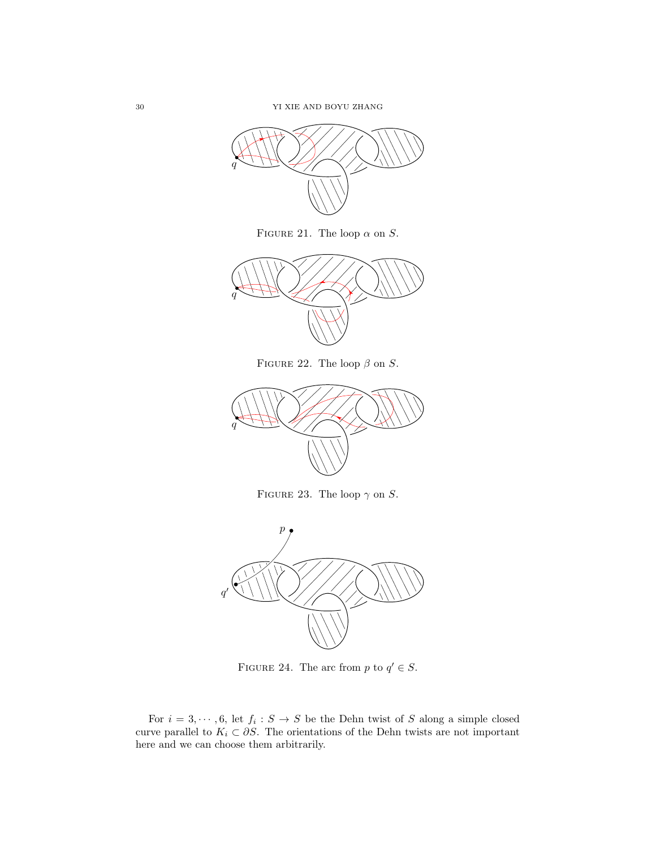<span id="page-29-0"></span>

FIGURE 21. The loop  $\alpha$  on  $S$ .



FIGURE 22. The loop  $\beta$  on S.



FIGURE 23. The loop  $\gamma$  on S.

<span id="page-29-1"></span>

FIGURE 24. The arc from p to  $q' \in S$ .

For  $i = 3, \dots, 6$ , let  $f_i : S \to S$  be the Dehn twist of S along a simple closed curve parallel to  $K_i \subset \partial S$ . The orientations of the Dehn twists are not important here and we can choose them arbitrarily.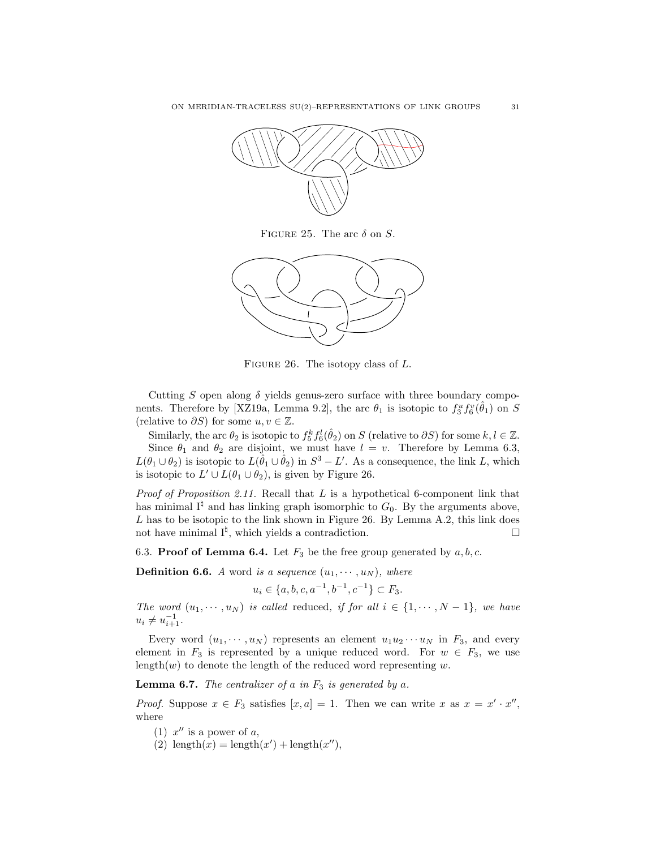<span id="page-30-2"></span>

FIGURE 25. The arc  $\delta$  on  $S$ .

<span id="page-30-0"></span>

FIGURE 26. The isotopy class of  $L$ .

Cutting S open along  $\delta$  yields genus-zero surface with three boundary compo-nents. Therefore by [\[XZ19a,](#page-38-5) Lemma 9.2], the arc  $\theta_1$  is isotopic to  $f_3^u f_6^v(\hat{\theta}_1)$  on S (relative to  $\partial S$ ) for some  $u, v \in \mathbb{Z}$ .

Similarly, the arc  $\theta_2$  is isotopic to  $f_5^k f_6^l(\hat{\theta}_2)$  on S (relative to  $\partial S$ ) for some  $k, l \in \mathbb{Z}$ . Since  $\theta_1$  and  $\theta_2$  are disjoint, we must have  $l = v$ . Therefore by Lemma [6.3,](#page-26-2)  $L(\theta_1 \cup \theta_2)$  is isotopic to  $L(\hat{\theta}_1 \cup \hat{\theta}_2)$  in  $S^3 - L'$ . As a consequence, the link L, which is isotopic to  $L' \cup L(\theta_1 \cup \theta_2)$ , is given by Figure [26.](#page-30-0)

*Proof of Proposition [2.11.](#page-4-5)* Recall that  $L$  is a hypothetical 6-component link that has minimal  $I^{\natural}$  and has linking graph isomorphic to  $G_0$ . By the arguments above,  $L$  has to be isotopic to the link shown in Figure [26.](#page-30-0) By Lemma [A.2,](#page-35-0) this link does not have minimal  $I^{\sharp}$ , which yields a contradiction.

<span id="page-30-1"></span>6.3. **Proof of Lemma [6.4.](#page-27-1)** Let  $F_3$  be the free group generated by  $a, b, c$ .

**Definition 6.6.** A word is a sequence  $(u_1, \dots, u_N)$ , where

$$
u_i \in \{a, b, c, a^{-1}, b^{-1}, c^{-1}\} \subset F_3.
$$

The word  $(u_1, \dots, u_N)$  is called reduced, if for all  $i \in \{1, \dots, N-1\}$ , we have  $u_i \neq u_{i+1}^{-1}.$ 

Every word  $(u_1, \dots, u_N)$  represents an element  $u_1u_2\dotsm u_N$  in  $F_3$ , and every element in  $F_3$  is represented by a unique reduced word. For  $w \in F_3$ , we use length $(w)$  to denote the length of the reduced word representing w.

<span id="page-30-3"></span>**Lemma 6.7.** The centralizer of a in  $F_3$  is generated by a.

*Proof.* Suppose  $x \in F_3$  satisfies  $[x, a] = 1$ . Then we can write x as  $x = x' \cdot x''$ , where

- (1)  $x''$  is a power of a,
- (2)  $\text{length}(x) = \text{length}(x') + \text{length}(x'')$ ,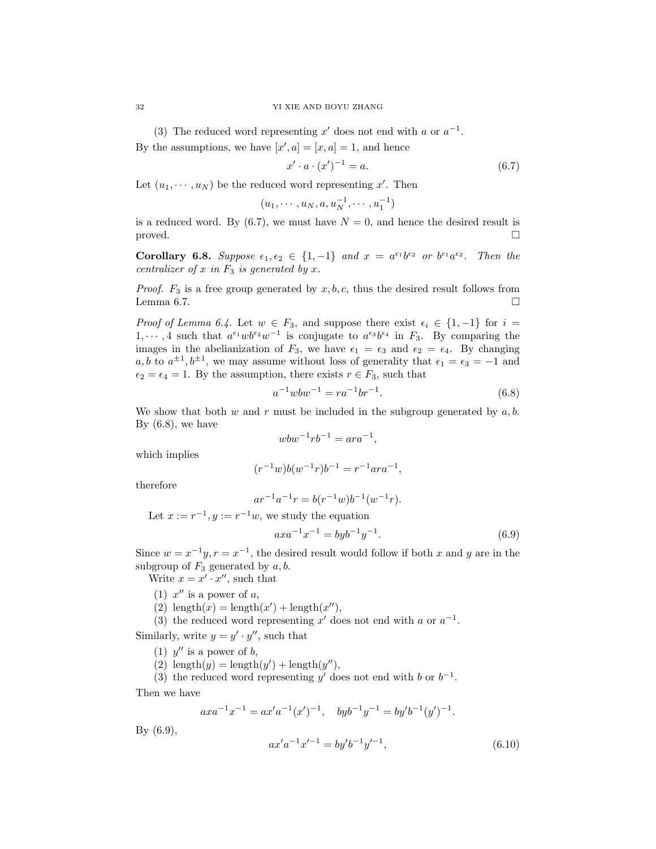(3) The reduced word representing  $x'$  does not end with a or  $a^{-1}$ .

By the assumptions, we have  $[x', a] = [x, a] = 1$ , and hence

<span id="page-31-0"></span>
$$
x' \cdot a \cdot (x')^{-1} = a. \tag{6.7}
$$

Let  $(u_1, \dots, u_N)$  be the reduced word representing x'. Then

$$
(u_1, \cdots, u_N, a, u_N^{-1}, \cdots, u_1^{-1})
$$

is a reduced word. By  $(6.7)$ , we must have  $N = 0$ , and hence the desired result is proved.  $\square$ 

<span id="page-31-4"></span>Corollary 6.8. Suppose  $\epsilon_1, \epsilon_2 \in \{1, -1\}$  and  $x = a^{\epsilon_1}b^{\epsilon_2}$  or  $b^{\epsilon_1}a^{\epsilon_2}$ . Then the centralizer of  $x$  in  $F_3$  is generated by  $x$ .

*Proof.*  $F_3$  is a free group generated by  $x, b, c$ , thus the desired result follows from Lemma [6.7.](#page-30-3)  $\Box$ 

*Proof of Lemma [6.4.](#page-27-1)* Let  $w \in F_3$ , and suppose there exist  $\epsilon_i \in \{1, -1\}$  for  $i =$  $1, \dots, 4$  such that  $a^{\epsilon_1}wb^{\epsilon_2}w^{-1}$  is conjugate to  $a^{\epsilon_3}b^{\epsilon_4}$  in  $F_3$ . By comparing the images in the abelianization of  $F_3$ , we have  $\epsilon_1 = \epsilon_3$  and  $\epsilon_2 = \epsilon_4$ . By changing a, b to  $a^{\pm 1}$ ,  $b^{\pm 1}$ , we may assume without loss of generality that  $\epsilon_1 = \epsilon_3 = -1$  and  $\epsilon_2 = \epsilon_4 = 1$ . By the assumption, there exists  $r \in F_3$ , such that

<span id="page-31-1"></span>
$$
a^{-1}wbw^{-1} = ra^{-1}br^{-1}.
$$
\n(6.8)

We show that both  $w$  and  $r$  must be included in the subgroup generated by  $a, b$ . By  $(6.8)$ , we have

$$
wbw^{-1}rb^{-1} = ara^{-1},
$$

which implies

$$
(r^{-1}w)b(w^{-1}r)b^{-1} = r^{-1}ara^{-1},
$$

therefore

$$
ar^{-1}a^{-1}r = b(r^{-1}w)b^{-1}(w^{-1}r).
$$

Let  $x := r^{-1}, y := r^{-1}w$ , we study the equation

<span id="page-31-2"></span>
$$
axa^{-1}x^{-1} = byb^{-1}y^{-1}.
$$
\n(6.9)

Since  $w = x^{-1}y, r = x^{-1}$ , the desired result would follow if both x and y are in the subgroup of  $F_3$  generated by  $a, b$ .

Write  $x = x' \cdot x''$ , such that

- (1)  $x''$  is a power of a,
- (2)  $\text{length}(x) = \text{length}(x') + \text{length}(x'')$ ,
- (3) the reduced word representing  $x'$  does not end with a or  $a^{-1}$ .

Similarly, write  $y = y' \cdot y''$ , such that

- (1)  $y''$  is a power of b,
- (2)  $\text{length}(y) = \text{length}(y') + \text{length}(y'')$ ,

(3) the reduced word representing y' does not end with b or  $b^{-1}$ . Then we have

$$
axa^{-1}x^{-1} = ax'a^{-1}(x')^{-1}, \quad byb^{-1}y^{-1} = by'b^{-1}(y')^{-1}.
$$

By [\(6.9\)](#page-31-2),

<span id="page-31-3"></span>
$$
ax'a^{-1}x'^{-1} = by'b^{-1}y'^{-1},
$$
\n(6.10)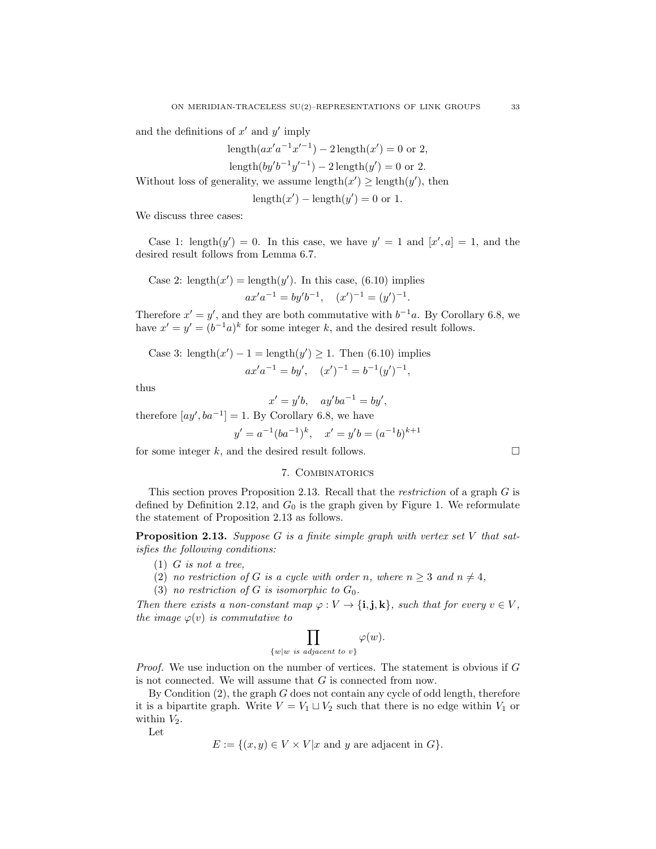and the definitions of  $x'$  and  $y'$  imply

length $(ax'a^{-1}x'^{-1}) - 2$  length $(x') = 0$  or 2,

length
$$
(by'b^{-1}y'^{-1}) - 2
$$
 length $(y') = 0$  or 2.

Without loss of generality, we assume length $(x') \geq \text{length}(y')$ , then

$$
length(x') - length(y') = 0 \text{ or } 1.
$$

We discuss three cases:

Case 1: length $(y') = 0$ . In this case, we have  $y' = 1$  and  $[x', a] = 1$ , and the desired result follows from Lemma [6.7.](#page-30-3)

Case 2: 
$$
length(x') = length(y')
$$
. In this case, (6.10) implies

$$
ax'a^{-1} = by'b^{-1}, \quad (x')^{-1} = (y')^{-1}.
$$

Therefore  $x' = y'$ , and they are both commutative with  $b^{-1}a$ . By Corollary [6.8,](#page-31-4) we have  $x' = y' = (b^{-1}a)^k$  for some integer k, and the desired result follows.

Case 3: length
$$
(x')
$$
 – 1 = length $(y')$  ≥ 1. Then (6.10) implies  
 $ax'a^{-1} = by', (x')^{-1} = b^{-1}(y')^{-1},$ 

thus

$$
x' = y'b, \quad ay'ba^{-1} = by',
$$

therefore  $[ay', ba^{-1}] = 1$ . By Corollary [6.8,](#page-31-4) we have

$$
y' = a^{-1}(ba^{-1})^k
$$
,  $x' = y'b = (a^{-1}b)^{k+1}$ 

<span id="page-32-0"></span>for some integer  $k$ , and the desired result follows.

## 7. Combinatorics

This section proves Proposition [2.13.](#page-5-2) Recall that the restriction of a graph G is defined by Definition [2.12,](#page-5-4) and  $G_0$  is the graph given by Figure [1.](#page-5-1) We reformulate the statement of Proposition [2.13](#page-5-2) as follows.

**Proposition [2.13.](#page-5-2)** Suppose G is a finite simple graph with vertex set V that satisfies the following conditions:

- $(1)$  *G* is not a tree,
- (2) no restriction of G is a cycle with order n, where  $n \geq 3$  and  $n \neq 4$ ,
- (3) no restriction of G is isomorphic to  $G_0$ .

Then there exists a non-constant map  $\varphi: V \to \{\mathbf{i}, \mathbf{j}, \mathbf{k}\}\,$  such that for every  $v \in V$ , the image  $\varphi(v)$  is commutative to

$$
\prod_{\{w|w \text{ is adjacent to } v\}} \varphi(w).
$$

*Proof.* We use induction on the number of vertices. The statement is obvious if  $G$ is not connected. We will assume that G is connected from now.

By Condition  $(2)$ , the graph G does not contain any cycle of odd length, therefore it is a bipartite graph. Write  $V = V_1 \sqcup V_2$  such that there is no edge within  $V_1$  or within  $V_2$ .

Let

$$
E := \{(x, y) \in V \times V | x \text{ and } y \text{ are adjacent in } G\}.
$$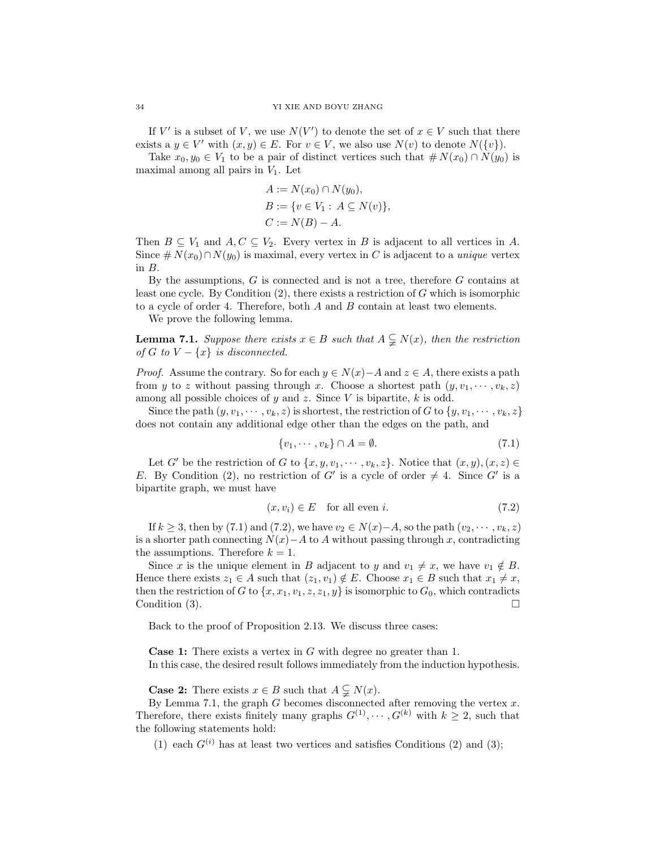If V' is a subset of V, we use  $N(V')$  to denote the set of  $x \in V$  such that there exists a  $y \in V'$  with  $(x, y) \in E$ . For  $v \in V$ , we also use  $N(v)$  to denote  $N({v})$ .

Take  $x_0, y_0 \in V_1$  to be a pair of distinct vertices such that  $\# N(x_0) \cap N(y_0)$  is maximal among all pairs in  $V_1$ . Let

$$
A := N(x_0) \cap N(y_0),
$$
  
\n
$$
B := \{ v \in V_1 : A \subseteq N(v) \},
$$
  
\n
$$
C := N(B) - A.
$$

Then  $B \subseteq V_1$  and  $A, C \subseteq V_2$ . Every vertex in B is adjacent to all vertices in A. Since  $\# N(x_0) \cap N(y_0)$  is maximal, every vertex in C is adjacent to a unique vertex in B.

By the assumptions, G is connected and is not a tree, therefore G contains at least one cycle. By Condition  $(2)$ , there exists a restriction of G which is isomorphic to a cycle of order 4. Therefore, both  $A$  and  $B$  contain at least two elements.

We prove the following lemma.

<span id="page-33-2"></span>**Lemma 7.1.** Suppose there exists  $x \in B$  such that  $A \subsetneq N(x)$ , then the restriction of G to  $V - \{x\}$  is disconnected.

*Proof.* Assume the contrary. So for each  $y \in N(x) - A$  and  $z \in A$ , there exists a path from y to z without passing through x. Choose a shortest path  $(y, v_1, \dots, v_k, z)$ among all possible choices of y and z. Since V is bipartite,  $k$  is odd.

Since the path  $(y, v_1, \dots, v_k, z)$  is shortest, the restriction of G to  $\{y, v_1, \dots, v_k, z\}$ does not contain any additional edge other than the edges on the path, and

<span id="page-33-0"></span>
$$
\{v_1, \cdots, v_k\} \cap A = \emptyset. \tag{7.1}
$$

Let G' be the restriction of G to  $\{x, y, v_1, \dots, v_k, z\}$ . Notice that  $(x, y), (x, z) \in$ E. By Condition (2), no restriction of G' is a cycle of order  $\neq 4$ . Since G' is a bipartite graph, we must have

<span id="page-33-1"></span>
$$
(x, v_i) \in E \quad \text{for all even } i. \tag{7.2}
$$

If  $k \geq 3$ , then by [\(7.1\)](#page-33-0) and [\(7.2\)](#page-33-1), we have  $v_2 \in N(x)-A$ , so the path  $(v_2, \dots, v_k, z)$ is a shorter path connecting  $N(x)$ −A to A without passing through x, contradicting the assumptions. Therefore  $k = 1$ .

Since x is the unique element in B adjacent to y and  $v_1 \neq x$ , we have  $v_1 \notin B$ . Hence there exists  $z_1 \in A$  such that  $(z_1, v_1) \notin E$ . Choose  $x_1 \in B$  such that  $x_1 \neq x$ , then the restriction of G to  $\{x, x_1, v_1, z, z_1, y\}$  is isomorphic to  $G_0$ , which contradicts Condition  $(3)$ .

Back to the proof of Proposition [2.13.](#page-5-2) We discuss three cases:

**Case 1:** There exists a vertex in  $G$  with degree no greater than 1. In this case, the desired result follows immediately from the induction hypothesis.

**Case 2:** There exists  $x \in B$  such that  $A \subsetneq N(x)$ .

By Lemma [7.1,](#page-33-2) the graph  $G$  becomes disconnected after removing the vertex  $x$ . Therefore, there exists finitely many graphs  $G^{(1)}, \dots, G^{(k)}$  with  $k \geq 2$ , such that the following statements hold:

(1) each  $G^{(i)}$  has at least two vertices and satisfies Conditions (2) and (3);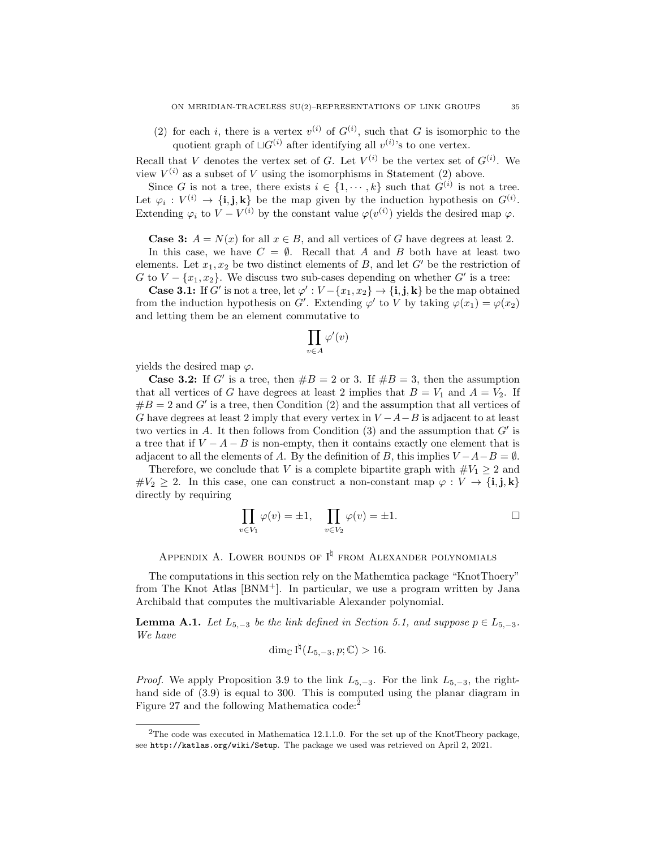(2) for each i, there is a vertex  $v^{(i)}$  of  $G^{(i)}$ , such that G is isomorphic to the quotient graph of  $\sqcup G^{(i)}$  after identifying all  $v^{(i)}$ 's to one vertex.

Recall that V denotes the vertex set of G. Let  $V^{(i)}$  be the vertex set of  $G^{(i)}$ . We view  $V^{(i)}$  as a subset of V using the isomorphisms in Statement (2) above.

Since G is not a tree, there exists  $i \in \{1, \dots, k\}$  such that  $G^{(i)}$  is not a tree. Let  $\varphi_i: V^{(i)} \to \{\mathbf{i}, \mathbf{j}, \mathbf{k}\}\$ be the map given by the induction hypothesis on  $G^{(i)}$ . Extending  $\varphi_i$  to  $V - V^{(i)}$  by the constant value  $\varphi(v^{(i)})$  yields the desired map  $\varphi$ .

**Case 3:**  $A = N(x)$  for all  $x \in B$ , and all vertices of G have degrees at least 2.

In this case, we have  $C = \emptyset$ . Recall that A and B both have at least two elements. Let  $x_1, x_2$  be two distinct elements of B, and let G' be the restriction of G to  $V - \{x_1, x_2\}$ . We discuss two sub-cases depending on whether G' is a tree:

**Case 3.1:** If G' is not a tree, let  $\varphi': V - \{x_1, x_2\} \to \{\mathbf{i}, \mathbf{j}, \mathbf{k}\}\$  be the map obtained from the induction hypothesis on G'. Extending  $\varphi'$  to V by taking  $\varphi(x_1) = \varphi(x_2)$ and letting them be an element commutative to

$$
\prod_{v\in A}\varphi'(v)
$$

yields the desired map  $\varphi$ .

**Case 3.2:** If G' is a tree, then  $#B = 2$  or 3. If  $#B = 3$ , then the assumption that all vertices of G have degrees at least 2 implies that  $B = V_1$  and  $A = V_2$ . If  $#B = 2$  and G' is a tree, then Condition (2) and the assumption that all vertices of G have degrees at least 2 imply that every vertex in  $V - A - B$  is adjacent to at least two vertics in A. It then follows from Condition  $(3)$  and the assumption that  $G'$  is a tree that if  $V - A - B$  is non-empty, then it contains exactly one element that is adjacent to all the elements of A. By the definition of B, this implies  $V - A - B = \emptyset$ .

Therefore, we conclude that V is a complete bipartite graph with  $\#V_1 \geq 2$  and  $\#V_2 \geq 2$ . In this case, one can construct a non-constant map  $\varphi: V \to \{\mathbf{i}, \mathbf{j}, \mathbf{k}\}\$ directly by requiring

$$
\prod_{v \in V_1} \varphi(v) = \pm 1, \quad \prod_{v \in V_2} \varphi(v) = \pm 1.
$$

APPENDIX A. LOWER BOUNDS OF  $I^{\natural}$  from Alexander polynomials

The computations in this section rely on the Mathemtica package "KnotThoery" from The Knot Atlas [\[BNM](#page-36-7)<sup>+</sup>]. In particular, we use a program written by Jana Archibald that computes the multivariable Alexander polynomial.

<span id="page-34-0"></span>**Lemma A.1.** Let  $L_{5,-3}$  be the link defined in Section [5.1,](#page-20-4) and suppose  $p \in L_{5,-3}$ . We have

$$
\dim_{\mathbb{C}} I^{\natural}(L_{5,-3}, p; \mathbb{C}) > 16.
$$

*Proof.* We apply Proposition [3.9](#page-12-5) to the link  $L_{5,-3}$ . For the link  $L_{5,-3}$ , the righthand side of  $(3.9)$  is equal to 300. This is computed using the planar diagram in Figure [27](#page-35-1) and the following Mathematica code:<sup>[2](#page-34-1)</sup>

<span id="page-34-1"></span><sup>&</sup>lt;sup>2</sup>The code was executed in Mathematica 12.1.1.0. For the set up of the KnotTheory package, see <http://katlas.org/wiki/Setup>. The package we used was retrieved on April 2, 2021.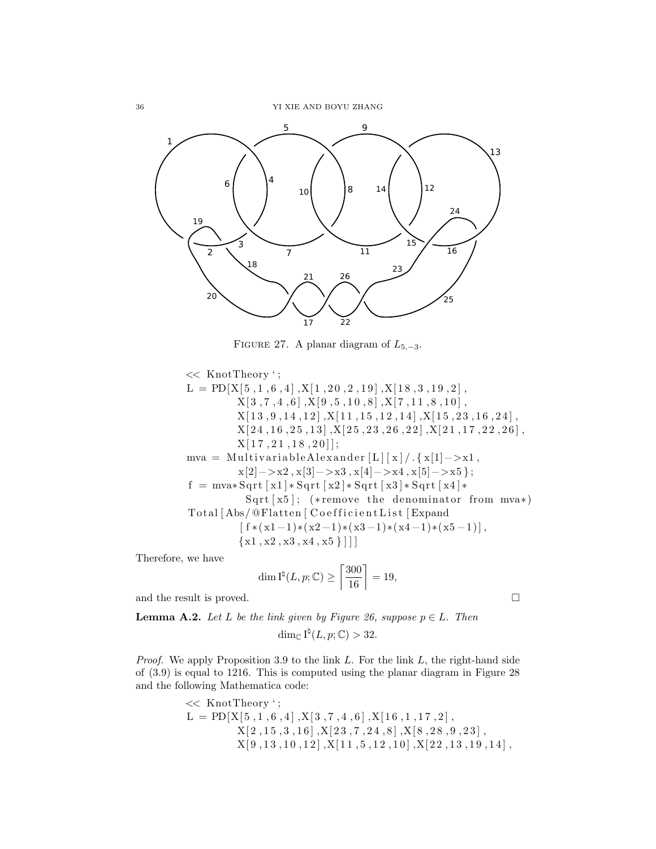<span id="page-35-1"></span>

FIGURE 27. A planar diagram of  $L_{5,-3}$ .

<< KnotTheory ' ; L = PD[X[ 5 , 1 , 6 , 4 ] ,X[ 1 , 2 0 , 2 , 1 9 ] ,X[ 1 8 , 3 , 1 9 , 2 ] , X[ 3 , 7 , 4 , 6 ] ,X[ 9 , 5 , 1 0 , 8 ] ,X[ 7 , 1 1 , 8 , 1 0 ] , X[ 1 3 , 9 , 1 4 , 1 2 ] ,X[ 1 1 , 1 5 , 1 2 , 1 4 ] ,X[ 1 5 , 2 3 , 1 6 , 2 4 ] , X[ 2 4 , 1 6 , 2 5 , 1 3 ] ,X[ 2 5 , 2 3 , 2 6 , 2 2 ] ,X[ 2 1 , 1 7 , 2 2 , 2 6 ] , X[ 1 7 , 2 1 , 1 8 , 2 0 ] ] ; mva = M ul ti v a ri a bl e Al e x a n d e r [ L ] [ x ] / . { x[1]−>x1 , x[2]−>x2 , x[3]−>x3 , x[4]−>x4 , x[5]−>x5 } ; f = mva∗ S q r t [ x1 ] ∗ S q r t [ x2 ] ∗ S q r t [ x3 ] ∗ S q r t [ x4 ] ∗ S q r t [ x5 ] ; (∗ remove the denominator from mva∗) T o t al [ Abs/ @Flatten [ C o e f f i c i e n t L i s t [ Expand [ f ∗( x1 −1)∗( x2 −1)∗( x3 −1)∗( x4 −1)∗( x5 −1 )] , {x1 , x2 , x3 , x4 , x5 } ] ] ]

Therefore, we have

$$
\dim \mathrm{I}^\natural(L,p;\mathbb{C}) \ge \left\lceil \frac{300}{16} \right\rceil = 19,
$$

and the result is proved.  $\hfill \square$ 

<span id="page-35-0"></span>**Lemma A.2.** Let L be the link given by Figure [26,](#page-30-0) suppose  $p \in L$ . Then

$$
\dim_{\mathbb{C}} I^{\natural}(L, p; \mathbb{C}) > 32.
$$

*Proof.* We apply Proposition [3.9](#page-12-5) to the link  $L$ . For the link  $L$ , the right-hand side of [\(3.9\)](#page-12-3) is equal to 1216. This is computed using the planar diagram in Figure [28](#page-36-8) and the following Mathematica code:

$$
\begin{aligned}\n&<< \text{KnotTheory }';\\ \nL = \text{PD}[X[5, 1, 6, 4], X[3, 7, 4, 6], X[16, 1, 17, 2],\\ \n& X[2, 15, 3, 16], X[23, 7, 24, 8], X[8, 28, 9, 23],\\ \n& X[9, 13, 10, 12], X[11, 5, 12, 10], X[22, 13, 19, 14],\n\end{aligned}
$$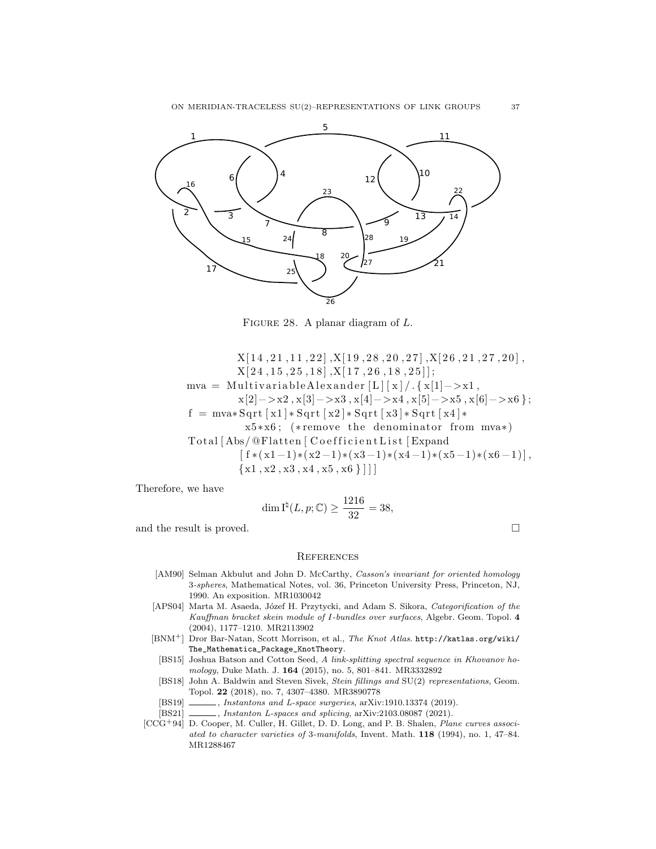ON MERIDIAN-TRACELESS SU(2)–REPRESENTATIONS OF LINK GROUPS 37

<span id="page-36-8"></span>

FIGURE 28. A planar diagram of L.

 $X[14, 21, 11, 22], X[19, 28, 20, 27], X[26, 21, 27, 20],$  $X[24, 15, 25, 18], X[17, 26, 18, 25];$  $mva = Multivariable Alexander [L] [x]/.\{x[1]->x1\},$  $x[2]->x2, x[3]->x3, x[4]->x4, x[5]->x5, x[6]->x6$  };  $f = \text{mva} * \text{Sqrt} [\text{x1}] * \text{Sqrt} [\text{x2}] * \text{Sqrt} [\text{x3}] * \text{Sqrt} [\text{x4}] *$ x5∗x6 ; (∗ remove the denominator from mva∗) Total [Abs/@Flatten [ Coefficient List [ Expand  $\lceil f*(x1-1)*(x2-1)*(x3-1)*(x4-1)*(x5-1)*(x6-1) \rceil$  ${x1, x2, x3, x4, x5, x6}$ 

Therefore, we have

$$
\dim \mathrm{I}^{\natural}(L,p;\mathbb{C}) \ge \frac{1216}{32} = 38,
$$

and the result is proved.  $\Box$ 

## **REFERENCES**

- <span id="page-36-0"></span>[AM90] Selman Akbulut and John D. McCarthy, Casson's invariant for oriented homology 3-spheres, Mathematical Notes, vol. 36, Princeton University Press, Princeton, NJ, 1990. An exposition. MR1030042
- <span id="page-36-6"></span>[APS04] Marta M. Asaeda, Józef H. Przytycki, and Adam S. Sikora, Categorification of the Kauffman bracket skein module of I-bundles over surfaces, Algebr. Geom. Topol. 4 (2004), 1177–1210. MR2113902
- <span id="page-36-7"></span><span id="page-36-5"></span>[BNM+] Dror Bar-Natan, Scott Morrison, et al., The Knot Atlas. [http://katlas.org/wiki/](http://katlas.org/wiki/The_Mathematica_Package_KnotTheory) [The\\_Mathematica\\_Package\\_KnotTheory](http://katlas.org/wiki/The_Mathematica_Package_KnotTheory).
	- [BS15] Joshua Batson and Cotton Seed, A link-splitting spectral sequence in Khovanov homology, Duke Math. J. 164 (2015), no. 5, 801–841. MR3332892
	- [BS18] John A. Baldwin and Steven Sivek, Stein fillings and SU(2) representations, Geom. Topol. 22 (2018), no. 7, 4307–4380. MR3890778
	- [BS19] , Instantons and L-space surgeries, arXiv:1910.13374 (2019).
- <span id="page-36-4"></span><span id="page-36-3"></span><span id="page-36-2"></span> $[BS21]$  , Instanton L-spaces and splicing, arXiv:2103.08087 (2021).
- <span id="page-36-1"></span>[CCG<sup>+</sup>94] D. Cooper, M. Culler, H. Gillet, D. D. Long, and P. B. Shalen, *Plane curves associ*ated to character varieties of 3-manifolds, Invent. Math. 118 (1994), no. 1, 47–84. MR1288467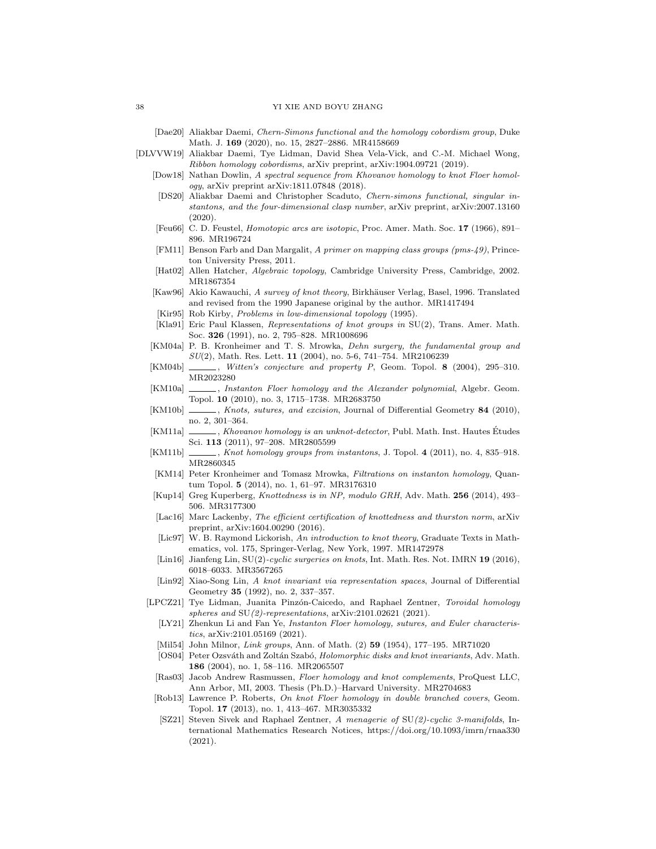- <span id="page-37-8"></span>[Dae20] Aliakbar Daemi, Chern-Simons functional and the homology cobordism group, Duke Math. J. 169 (2020), no. 15, 2827–2886. MR4158669
- <span id="page-37-28"></span><span id="page-37-27"></span><span id="page-37-26"></span><span id="page-37-25"></span><span id="page-37-24"></span><span id="page-37-23"></span><span id="page-37-22"></span><span id="page-37-21"></span><span id="page-37-20"></span><span id="page-37-19"></span><span id="page-37-18"></span><span id="page-37-17"></span><span id="page-37-16"></span><span id="page-37-15"></span><span id="page-37-14"></span><span id="page-37-13"></span><span id="page-37-12"></span><span id="page-37-11"></span><span id="page-37-10"></span><span id="page-37-9"></span><span id="page-37-7"></span><span id="page-37-6"></span><span id="page-37-5"></span><span id="page-37-4"></span><span id="page-37-3"></span><span id="page-37-2"></span><span id="page-37-1"></span><span id="page-37-0"></span>[DLVVW19] Aliakbar Daemi, Tye Lidman, David Shea Vela-Vick, and C.-M. Michael Wong, Ribbon homology cobordisms, arXiv preprint, arXiv:1904.09721 (2019).
	- [Dow18] Nathan Dowlin, A spectral sequence from Khovanov homology to knot Floer homology, arXiv preprint arXiv:1811.07848 (2018).
	- [DS20] Aliakbar Daemi and Christopher Scaduto, Chern-simons functional, singular instantons, and the four-dimensional clasp number, arXiv preprint, arXiv:2007.13160  $(2020)$ .
	- [Feu66] C. D. Feustel, Homotopic arcs are isotopic, Proc. Amer. Math. Soc. 17 (1966), 891– 896. MR196724
	- [FM11] Benson Farb and Dan Margalit, A primer on mapping class groups (pms-49), Princeton University Press, 2011.
	- [Hat02] Allen Hatcher, Algebraic topology, Cambridge University Press, Cambridge, 2002. MR1867354
	- [Kaw96] Akio Kawauchi, A survey of knot theory, Birkhäuser Verlag, Basel, 1996. Translated and revised from the 1990 Japanese original by the author. MR1417494
	- [Kir95] Rob Kirby, Problems in low-dimensional topology (1995). [Kla91] Eric Paul Klassen, Representations of knot groups in SU(2), Trans. Amer. Math.
		- Soc. 326 (1991), no. 2, 795–828. MR1008696
	- [KM04a] P. B. Kronheimer and T. S. Mrowka, Dehn surgery, the fundamental group and  $SU(2)$ , Math. Res. Lett. 11 (2004), no. 5-6, 741–754. MR2106239
	- [KM04b] , Witten's conjecture and property P, Geom. Topol. 8 (2004), 295-310. MR2023280
	- [KM10a] \_\_\_\_\_, Instanton Floer homology and the Alexander polynomial, Algebr. Geom. Topol. 10 (2010), no. 3, 1715–1738. MR2683750
	- [KM10b] , Knots, sutures, and excision, Journal of Differential Geometry 84 (2010), no. 2, 301–364.
	- [KM11a] \_\_\_\_\_\_, Khovanov homology is an unknot-detector, Publ. Math. Inst. Hautes Études Sci. 113 (2011), 97–208. MR2805599
	- [KM11b] , Knot homology groups from instantons, J. Topol. 4 (2011), no. 4, 835–918. MR2860345
	- [KM14] Peter Kronheimer and Tomasz Mrowka, Filtrations on instanton homology, Quantum Topol. 5 (2014), no. 1, 61–97. MR3176310
	- [Kup14] Greg Kuperberg, Knottedness is in NP, modulo GRH, Adv. Math. 256 (2014), 493– 506. MR3177300
	- [Lac16] Marc Lackenby, The efficient certification of knottedness and thurston norm, arXiv preprint, arXiv:1604.00290 (2016).
	- [Lic97] W. B. Raymond Lickorish, An introduction to knot theory, Graduate Texts in Mathematics, vol. 175, Springer-Verlag, New York, 1997. MR1472978
	- [Lin16] Jianfeng Lin, SU(2)-cyclic surgeries on knots, Int. Math. Res. Not. IMRN 19 (2016), 6018–6033. MR3567265
	- [Lin92] Xiao-Song Lin, A knot invariant via representation spaces, Journal of Differential Geometry 35 (1992), no. 2, 337–357.
	- [LPCZ21] Tye Lidman, Juanita Pinzón-Caicedo, and Raphael Zentner, Toroidal homology spheres and  $SU(2)$ -representations, arXiv:2101.02621 (2021).
		- [LY21] Zhenkun Li and Fan Ye, *Instanton Floer homology, sutures, and Euler characteris*tics, arXiv:2101.05169 (2021).
	- [Mil54] John Milnor, Link groups, Ann. of Math. (2) **59** (1954), 177–195. MR71020
	- [OS04] Peter Ozsváth and Zoltán Szabó, Holomorphic disks and knot invariants, Adv. Math. 186 (2004), no. 1, 58–116. MR2065507
	- [Ras03] Jacob Andrew Rasmussen, Floer homology and knot complements, ProQuest LLC, Ann Arbor, MI, 2003. Thesis (Ph.D.)–Harvard University. MR2704683
	- [Rob13] Lawrence P. Roberts, On knot Floer homology in double branched covers, Geom. Topol. 17 (2013), no. 1, 413–467. MR3035332
	- [SZ21] Steven Sivek and Raphael Zentner, A menagerie of SU(2)-cyclic 3-manifolds, International Mathematics Research Notices, https://doi.org/10.1093/imrn/rnaa330 (2021).